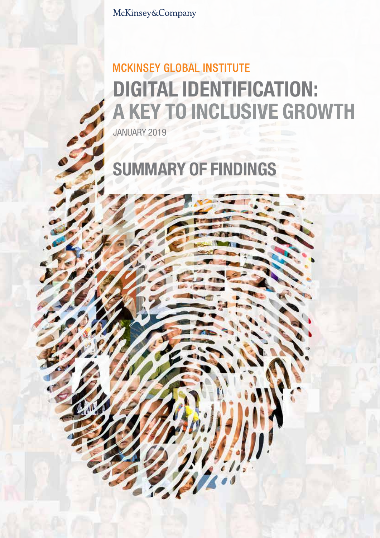McKinsey&Company

## **MCKINSEY GLOBAL INSTITUTE** DIGITAL IDENTIFICATION: A KEY TO INCLUSIVE GROWTH

JANUARY 2019

# SUMMARY OF FINDINGS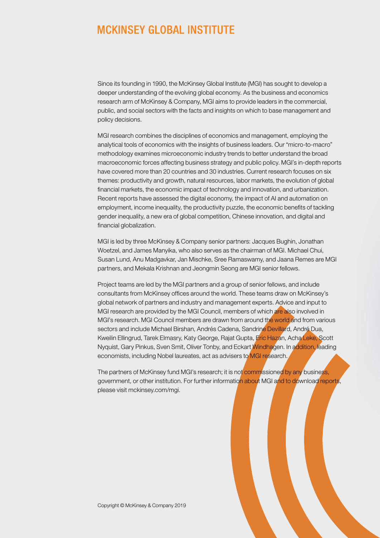### **MCKINSEY GLOBAL INSTITUTE**

Since its founding in 1990, the McKinsey Global Institute (MGI) has sought to develop a deeper understanding of the evolving global economy. As the business and economics research arm of McKinsey & Company, MGI aims to provide leaders in the commercial, public, and social sectors with the facts and insights on which to base management and policy decisions.

MGI research combines the disciplines of economics and management, employing the analytical tools of economics with the insights of business leaders. Our "micro-to-macro" methodology examines microeconomic industry trends to better understand the broad macroeconomic forces affecting business strategy and public policy. MGI's in-depth reports have covered more than 20 countries and 30 industries. Current research focuses on six themes: productivity and growth, natural resources, labor markets, the evolution of global financial markets, the economic impact of technology and innovation, and urbanization. Recent reports have assessed the digital economy, the impact of AI and automation on employment, income inequality, the productivity puzzle, the economic benefits of tackling gender inequality, a new era of global competition, Chinese innovation, and digital and financial globalization.

MGI is led by three McKinsey & Company senior partners: Jacques Bughin, Jonathan Woetzel, and James Manyika, who also serves as the chairman of MGI. Michael Chui, Susan Lund, Anu Madgavkar, Jan Mischke, Sree Ramaswamy, and Jaana Remes are MGI partners, and Mekala Krishnan and Jeongmin Seong are MGI senior fellows.

Project teams are led by the MGI partners and a group of senior fellows, and include consultants from McKinsey offices around the world. These teams draw on McKinsey's global network of partners and industry and management experts. Advice and input to MGI research are provided by the MGI Council, members of which are also involved in MGI's research. MGI Council members are drawn from around the world and from various sectors and include Michael Birshan, Andrés Cadena, Sandrine Devillard, André Dua, Kweilin Ellingrud, Tarek Elmasry, Katy George, Rajat Gupta, Eric Hazan, Acha Leke, Scott Nyquist, Gary Pinkus, Sven Smit, Oliver Tonby, and Eckart Windhagen. In addition, leading economists, including Nobel laureates, act as advisers to MGI research.

The partners of McKinsey fund MGI's research; it is not commissioned by any business, government, or other institution. For further information about MGI and to download reports, please visit mckinsey.com/mgi.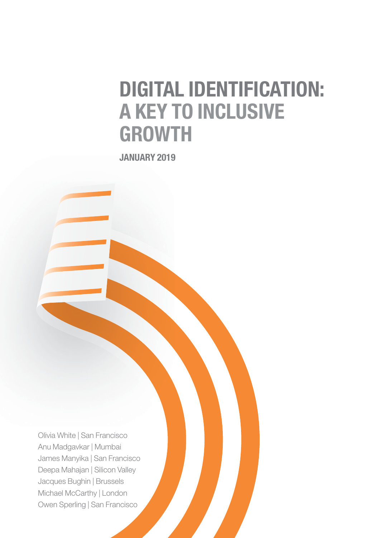# DIGITAL IDENTIFICATION: A KEY TO INCLUSIVE GROWTH

JANUARY 2019

Olivia White | San Francisco Anu Madgavkar | Mumbai James Manyika | San Francisco Deepa Mahajan | Silicon Valley Jacques Bughin | Brussels Michael McCarthy | London Owen Sperling | San Francisco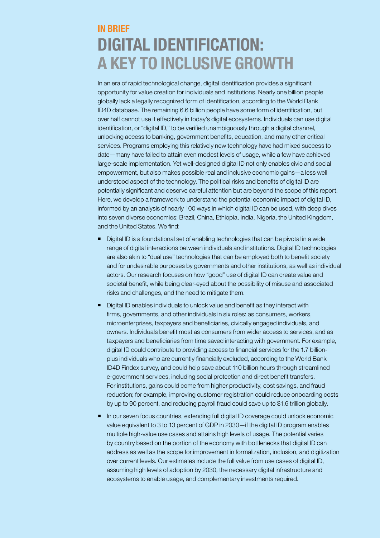### IN BRIEF DIGITAL IDENTIFICATION: A KEY TO INCLUSIVE GROWTH

In an era of rapid technological change, digital identification provides a significant opportunity for value creation for individuals and institutions. Nearly one billion people globally lack a legally recognized form of identification, according to the World Bank ID4D database. The remaining 6.6 billion people have some form of identification, but over half cannot use it effectively in today's digital ecosystems. Individuals can use digital identification, or "digital ID," to be verified unambiguously through a digital channel, unlocking access to banking, government benefits, education, and many other critical services. Programs employing this relatively new technology have had mixed success to date—many have failed to attain even modest levels of usage, while a few have achieved large-scale implementation. Yet well-designed digital ID not only enables civic and social empowerment, but also makes possible real and inclusive economic gains—a less well understood aspect of the technology. The political risks and benefits of digital ID are potentially significant and deserve careful attention but are beyond the scope of this report. Here, we develop a framework to understand the potential economic impact of digital ID, informed by an analysis of nearly 100 ways in which digital ID can be used, with deep dives into seven diverse economies: Brazil, China, Ethiopia, India, Nigeria, the United Kingdom, and the United States. We find:

- Digital ID is a foundational set of enabling technologies that can be pivotal in a wide range of digital interactions between individuals and institutions. Digital ID technologies are also akin to "dual use" technologies that can be employed both to benefit society and for undesirable purposes by governments and other institutions, as well as individual actors. Our research focuses on how "good" use of digital ID can create value and societal benefit, while being clear-eyed about the possibility of misuse and associated risks and challenges, and the need to mitigate them.
- Digital ID enables individuals to unlock value and benefit as they interact with firms, governments, and other individuals in six roles: as consumers, workers, microenterprises, taxpayers and beneficiaries, civically engaged individuals, and owners. Individuals benefit most as consumers from wider access to services, and as taxpayers and beneficiaries from time saved interacting with government. For example, digital ID could contribute to providing access to financial services for the 1.7 billionplus individuals who are currently financially excluded, according to the World Bank ID4D Findex survey, and could help save about 110 billion hours through streamlined e-government services, including social protection and direct benefit transfers. For institutions, gains could come from higher productivity, cost savings, and fraud reduction; for example, improving customer registration could reduce onboarding costs by up to 90 percent, and reducing payroll fraud could save up to \$1.6 trillion globally.
- In our seven focus countries, extending full digital ID coverage could unlock economic value equivalent to 3 to 13 percent of GDP in 2030—if the digital ID program enables multiple high-value use cases and attains high levels of usage. The potential varies by country based on the portion of the economy with bottlenecks that digital ID can address as well as the scope for improvement in formalization, inclusion, and digitization over current levels. Our estimates include the full value from use cases of digital ID, assuming high levels of adoption by 2030, the necessary digital infrastructure and ecosystems to enable usage, and complementary investments required.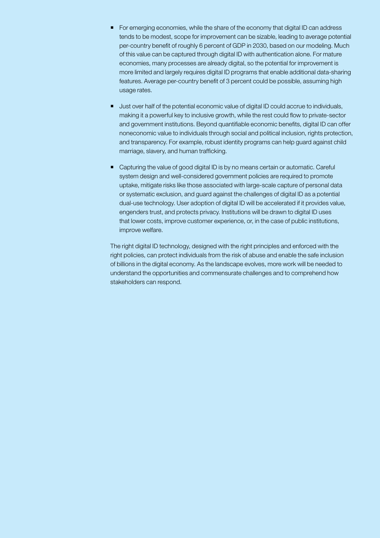- For emerging economies, while the share of the economy that digital ID can address tends to be modest, scope for improvement can be sizable, leading to average potential per-country benefit of roughly 6 percent of GDP in 2030, based on our modeling. Much of this value can be captured through digital ID with authentication alone. For mature economies, many processes are already digital, so the potential for improvement is more limited and largely requires digital ID programs that enable additional data-sharing features. Average per-country benefit of 3 percent could be possible, assuming high usage rates.
- **Just over half of the potential economic value of digital ID could accrue to individuals,** making it a powerful key to inclusive growth, while the rest could flow to private-sector and government institutions. Beyond quantifiable economic benefits, digital ID can offer noneconomic value to individuals through social and political inclusion, rights protection, and transparency. For example, robust identity programs can help guard against child marriage, slavery, and human trafficking.
- Capturing the value of good digital ID is by no means certain or automatic. Careful system design and well-considered government policies are required to promote uptake, mitigate risks like those associated with large-scale capture of personal data or systematic exclusion, and guard against the challenges of digital ID as a potential dual-use technology. User adoption of digital ID will be accelerated if it provides value, engenders trust, and protects privacy. Institutions will be drawn to digital ID uses that lower costs, improve customer experience, or, in the case of public institutions, improve welfare.

The right digital ID technology, designed with the right principles and enforced with the right policies, can protect individuals from the risk of abuse and enable the safe inclusion of billions in the digital economy. As the landscape evolves, more work will be needed to understand the opportunities and commensurate challenges and to comprehend how stakeholders can respond.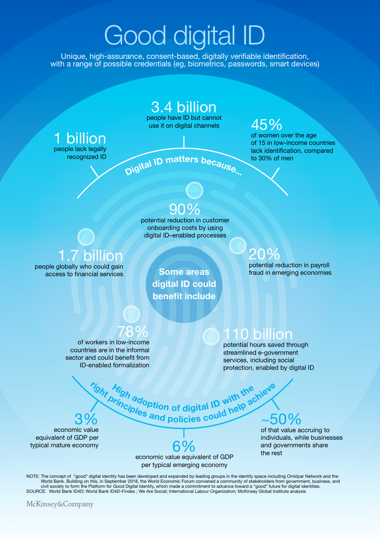# Good digital ID

Unique, high-assurance, consent-based, digitally verifiable identification, with a range of possible credentials (eg, biometrics, passwords, smart devices)

### 3.4 billion

people have ID but cannot beople have iD but cannot  $45\%$ 

### **billion** people lack legally recognized ID

Digital ID matters because.

of women over the age of 15 in low-income countries lack identification, compared to 30% of men

### 90%

potential reduction in customer onboarding costs by using digital ID–enabled processes

> Some areas digital ID could benefit include

### 1.7 billion people globally who could gain

access to financial services

# 20%

potential reduction in payroll fraud in emerging economies

of workers in low-income countries are in the informal sector and could benefit from ID-enabled formalization

### 110 billion

potential hours saved through streamlined e-government services, including social protection, enabled by digital ID

economic value equivalent of GDP per typical mature economy

economic value equivalent of GDP 6% per typical emerging economy

# $3\%$   $\sim$   $50\%$ Migh adoption of digital ID with the achiever the principles and policies could help achiever

of that value accruing to individuals, while businesses and governments share the rest

NOTE: The concept of "good" digital identity has been developed and expanded by leading groups in the identity space including Omidyar Network and the World Bank. Building on this, in September 2018, the World Economic Forum convened a community of stakeholders from government, business, and<br>civil society to form the Platform for Good Digital Identity, which made a commi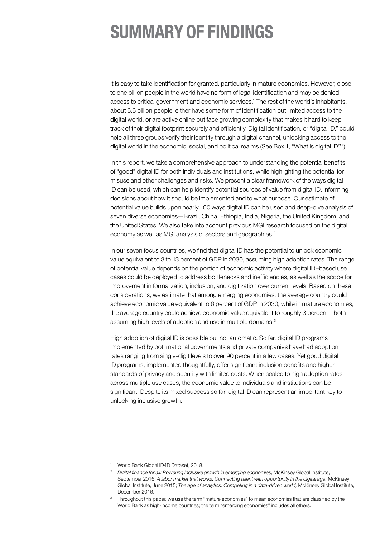### SUMMARY OF FINDINGS

It is easy to take identification for granted, particularly in mature economies. However, close to one billion people in the world have no form of legal identification and may be denied access to critical government and economic services.1 The rest of the world's inhabitants, about 6.6 billion people, either have some form of identification but limited access to the digital world, or are active online but face growing complexity that makes it hard to keep track of their digital footprint securely and efficiently. Digital identification, or "digital ID," could help all three groups verify their identity through a digital channel, unlocking access to the digital world in the economic, social, and political realms (See Box 1, "What is digital ID?").

In this report, we take a comprehensive approach to understanding the potential benefits of "good" digital ID for both individuals and institutions, while highlighting the potential for misuse and other challenges and risks. We present a clear framework of the ways digital ID can be used, which can help identify potential sources of value from digital ID, informing decisions about how it should be implemented and to what purpose. Our estimate of potential value builds upon nearly 100 ways digital ID can be used and deep-dive analysis of seven diverse economies—Brazil, China, Ethiopia, India, Nigeria, the United Kingdom, and the United States. We also take into account previous MGI research focused on the digital economy as well as MGI analysis of sectors and geographies.<sup>2</sup>

In our seven focus countries, we find that digital ID has the potential to unlock economic value equivalent to 3 to 13 percent of GDP in 2030, assuming high adoption rates. The range of potential value depends on the portion of economic activity where digital ID–based use cases could be deployed to address bottlenecks and inefficiencies, as well as the scope for improvement in formalization, inclusion, and digitization over current levels. Based on these considerations, we estimate that among emerging economies, the average country could achieve economic value equivalent to 6 percent of GDP in 2030, while in mature economies, the average country could achieve economic value equivalent to roughly 3 percent—both assuming high levels of adoption and use in multiple domains.<sup>3</sup>

High adoption of digital ID is possible but not automatic. So far, digital ID programs implemented by both national governments and private companies have had adoption rates ranging from single-digit levels to over 90 percent in a few cases. Yet good digital ID programs, implemented thoughtfully, offer significant inclusion benefits and higher standards of privacy and security with limited costs. When scaled to high adoption rates across multiple use cases, the economic value to individuals and institutions can be significant. Despite its mixed success so far, digital ID can represent an important key to unlocking inclusive growth.

World Bank Global ID4D Dataset, 2018.

<sup>&</sup>lt;sup>2</sup> Digital finance for all: Powering inclusive growth in emerging economies, McKinsey Global Institute, September 2016; *A labor market that works: Connecting talent with opportunity in the digital age,* McKinsey Global Institute, June 2015; *The age of analytics: Competing in a data-driven world,* McKinsey Global Institute, December 2016.

<sup>3</sup> Throughout this paper, we use the term "mature economies" to mean economies that are classified by the World Bank as high-income countries; the term "emerging economies" includes all others.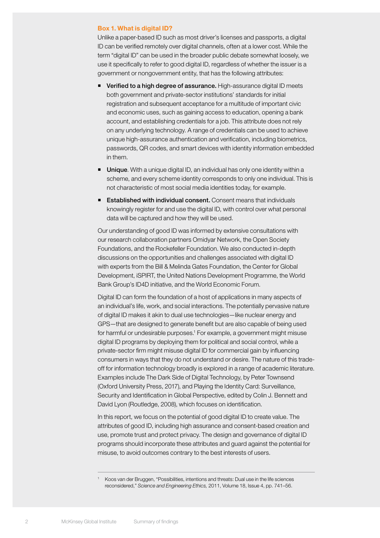#### Box 1. What is digital ID?

Unlike a paper-based ID such as most driver's licenses and passports, a digital ID can be verified remotely over digital channels, often at a lower cost. While the term "digital ID" can be used in the broader public debate somewhat loosely, we use it specifically to refer to good digital ID, regardless of whether the issuer is a government or nongovernment entity, that has the following attributes:

- **Verified to a high degree of assurance.** High-assurance digital ID meets both government and private-sector institutions' standards for initial registration and subsequent acceptance for a multitude of important civic and economic uses, such as gaining access to education, opening a bank account, and establishing credentials for a job. This attribute does not rely on any underlying technology. A range of credentials can be used to achieve unique high-assurance authentication and verification, including biometrics, passwords, QR codes, and smart devices with identity information embedded in them.
- **Unique.** With a unique digital ID, an individual has only one identity within a scheme, and every scheme identity corresponds to only one individual. This is not characteristic of most social media identities today, for example.
- **Established with individual consent.** Consent means that individuals knowingly register for and use the digital ID, with control over what personal data will be captured and how they will be used.

Our understanding of good ID was informed by extensive consultations with our research collaboration partners Omidyar Network, the Open Society Foundations, and the Rockefeller Foundation. We also conducted in-depth discussions on the opportunities and challenges associated with digital ID with experts from the Bill & Melinda Gates Foundation, the Center for Global Development, iSPIRT, the United Nations Development Programme, the World Bank Group's ID4D initiative, and the World Economic Forum.

Digital ID can form the foundation of a host of applications in many aspects of an individual's life, work, and social interactions. The potentially pervasive nature of digital ID makes it akin to dual use technologies—like nuclear energy and GPS—that are designed to generate benefit but are also capable of being used for harmful or undesirable purposes.<sup>1</sup> For example, a government might misuse digital ID programs by deploying them for political and social control, while a private-sector firm might misuse digital ID for commercial gain by influencing consumers in ways that they do not understand or desire. The nature of this tradeoff for information technology broadly is explored in a range of academic literature. Examples include The Dark Side of Digital Technology, by Peter Townsend (Oxford University Press, 2017), and Playing the Identity Card: Surveillance, Security and Identification in Global Perspective, edited by Colin J. Bennett and David Lyon (Routledge, 2008), which focuses on identification.

In this report, we focus on the potential of good digital ID to create value. The attributes of good ID, including high assurance and consent-based creation and use, promote trust and protect privacy. The design and governance of digital ID programs should incorporate these attributes and guard against the potential for misuse, to avoid outcomes contrary to the best interests of users.

<sup>1</sup> Koos van der Bruggen, "Possibilities, intentions and threats: Dual use in the life sciences reconsidered," *Science and Engineering Ethics,* 2011, Volume 18, Issue 4, pp. 741–56.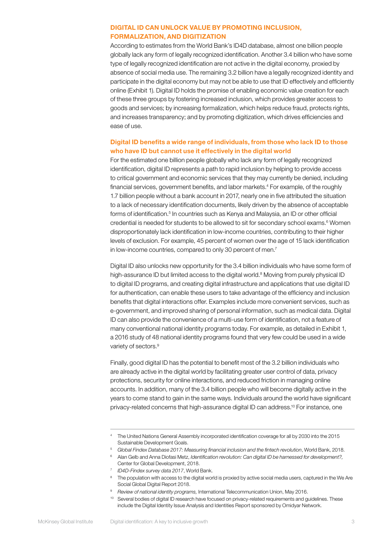#### DIGITAL ID CAN UNLOCK VALUE BY PROMOTING INCLUSION, FORMALIZATION, AND DIGITIZATION

According to estimates from the World Bank's ID4D database, almost one billion people globally lack any form of legally recognized identification. Another 3.4 billion who have some type of legally recognized identification are not active in the digital economy, proxied by absence of social media use. The remaining 3.2 billion have a legally recognized identity and participate in the digital economy but may not be able to use that ID effectively and efficiently online (Exhibit 1). Digital ID holds the promise of enabling economic value creation for each of these three groups by fostering increased inclusion, which provides greater access to goods and services; by increasing formalization, which helps reduce fraud, protects rights, and increases transparency; and by promoting digitization, which drives efficiencies and ease of use.

#### Digital ID benefits a wide range of individuals, from those who lack ID to those who have ID but cannot use it effectively in the digital world

For the estimated one billion people globally who lack any form of legally recognized identification, digital ID represents a path to rapid inclusion by helping to provide access to critical government and economic services that they may currently be denied, including financial services, government benefits, and labor markets.4 For example, of the roughly 1.7 billion people without a bank account in 2017, nearly one in five attributed the situation to a lack of necessary identification documents, likely driven by the absence of acceptable forms of identification.<sup>5</sup> In countries such as Kenya and Malaysia, an ID or other official credential is needed for students to be allowed to sit for secondary school exams.<sup>6</sup> Women disproportionately lack identification in low-income countries, contributing to their higher levels of exclusion. For example, 45 percent of women over the age of 15 lack identification in low-income countries, compared to only 30 percent of men.<sup>7</sup>

Digital ID also unlocks new opportunity for the 3.4 billion individuals who have some form of high-assurance ID but limited access to the digital world.<sup>8</sup> Moving from purely physical ID to digital ID programs, and creating digital infrastructure and applications that use digital ID for authentication, can enable these users to take advantage of the efficiency and inclusion benefits that digital interactions offer. Examples include more convenient services, such as e-government, and improved sharing of personal information, such as medical data. Digital ID can also provide the convenience of a multi-use form of identification, not a feature of many conventional national identity programs today. For example, as detailed in Exhibit 1, a 2016 study of 48 national identity programs found that very few could be used in a wide variety of sectors.<sup>9</sup>

Finally, good digital ID has the potential to benefit most of the 3.2 billion individuals who are already active in the digital world by facilitating greater user control of data, privacy protections, security for online interactions, and reduced friction in managing online accounts. In addition, many of the 3.4 billion people who will become digitally active in the years to come stand to gain in the same ways. Individuals around the world have significant privacy-related concerns that high-assurance digital ID can address.<sup>10</sup> For instance, one

<sup>4</sup> The United Nations General Assembly incorporated identification coverage for all by 2030 into the 2015 Sustainable Development Goals.

<sup>5</sup> *Global Findex Database 2017: Measuring financial inclusion and the fintech revolution*, World Bank, 2018.

<sup>6</sup> Alan Gelb and Anna Diofasi Metz, *Identification revolution: Can digital ID be harnessed for development?,*  Center for Global Development, 2018.

<sup>7</sup> *ID4D-Findex survey data 2017*, World Bank.

<sup>8</sup> The population with access to the digital world is proxied by active social media users, captured in the We Are Social Global Digital Report 2018.

<sup>9</sup> *Review of national identity programs,* International Telecommunication Union, May 2016.

<sup>&</sup>lt;sup>10</sup> Several bodies of digital ID research have focused on privacy-related requirements and guidelines. These include the Digital Identity Issue Analysis and Identities Report sponsored by Omidyar Network.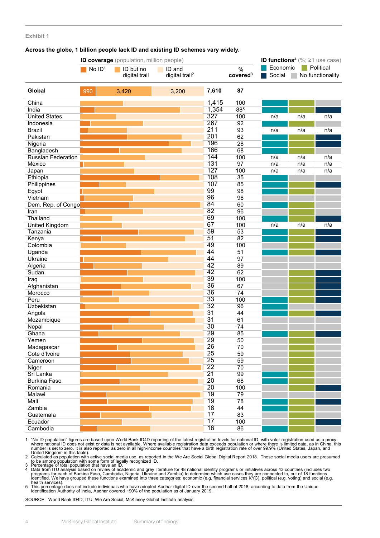#### **Exhibit 1**

#### **Across the globe, 1 billion people lack ID and existing ID schemes vary widely.**

|                       |          | ID coverage (population, million people) |                            |       |                      | <b>ID functions<sup>4</sup></b> (%; $\geq$ 1 use case) |     |                  |  |
|-----------------------|----------|------------------------------------------|----------------------------|-------|----------------------|--------------------------------------------------------|-----|------------------|--|
|                       | No $ID1$ | ID but no                                | ID and                     |       | $\%$                 | Economic                                               |     | Political        |  |
|                       |          | digital trail                            | digital trail <sup>2</sup> |       | covered <sup>3</sup> | Social                                                 |     | No functionality |  |
| Global                | 990      | 3,420                                    | 3,200                      | 7,610 | 87                   |                                                        |     |                  |  |
| China                 |          |                                          |                            | 1,415 | 100                  |                                                        |     |                  |  |
| India                 |          |                                          |                            | 1,354 | 885                  |                                                        |     |                  |  |
| <b>United States</b>  |          |                                          |                            | 327   | 100                  | n/a                                                    | n/a | n/a              |  |
| Indonesia             |          |                                          |                            | 267   | 92                   |                                                        |     |                  |  |
| <b>Brazil</b>         |          |                                          |                            | 211   | 93                   | n/a                                                    | n/a | n/a              |  |
| Pakistan              |          |                                          |                            | 201   | 62                   |                                                        |     |                  |  |
| Nigeria               |          |                                          |                            | 196   | 28                   |                                                        |     |                  |  |
| Bangladesh            |          |                                          |                            | 166   | 68                   |                                                        |     |                  |  |
| Russian Federation    |          |                                          |                            | 144   | 100                  | n/a                                                    | n/a | n/a              |  |
| Mexico                |          |                                          |                            | 131   | 97                   | n/a                                                    | n/a | n/a              |  |
| Japan                 |          |                                          |                            | 127   | 100                  | n/a                                                    | n/a | n/a              |  |
| Ethiopia              |          |                                          |                            | 108   | 35                   |                                                        |     |                  |  |
| Philippines           |          |                                          |                            | 107   | 85                   |                                                        |     |                  |  |
| Egypt                 |          |                                          |                            | 99    | 98                   |                                                        |     |                  |  |
| Vietnam               |          |                                          |                            | 96    | 96                   |                                                        |     |                  |  |
| Dem. Rep. of Congo    |          |                                          |                            | 84    | 60                   |                                                        |     |                  |  |
| Iran                  |          |                                          |                            | 82    | 96                   |                                                        |     |                  |  |
| Thailand              |          |                                          |                            | 69    | 100                  |                                                        |     |                  |  |
| <b>United Kingdom</b> |          |                                          |                            | 67    | 100                  | n/a                                                    | n/a | n/a              |  |
| Tanzania              |          |                                          |                            | 59    | 53                   |                                                        |     |                  |  |
| Kenya                 |          |                                          |                            | 51    | 82                   |                                                        |     |                  |  |
| Colombia              |          |                                          |                            | 49    | 100                  |                                                        |     |                  |  |
| Uganda                |          |                                          |                            | 44    | $\overline{51}$      |                                                        |     |                  |  |
| Ukraine               |          |                                          |                            | 44    | 97                   |                                                        |     |                  |  |
| Algeria               |          |                                          |                            | 42    | 89                   |                                                        |     |                  |  |
| Sudan                 |          |                                          |                            | 42    | 62                   |                                                        |     |                  |  |
| Iraq                  |          |                                          |                            | 39    | 100                  |                                                        |     |                  |  |
| Afghanistan           |          |                                          |                            | 36    | 67                   |                                                        |     |                  |  |
| Morocco               |          |                                          |                            | 36    | 74                   |                                                        |     |                  |  |
| Peru                  |          |                                          |                            | 33    | 100                  |                                                        |     |                  |  |
| Uzbekistan            |          |                                          |                            | 32    | 96                   |                                                        |     |                  |  |
| Angola                |          |                                          |                            | 31    | 44                   |                                                        |     |                  |  |
|                       |          |                                          |                            | 31    | 61                   |                                                        |     |                  |  |
| Mozambique            |          |                                          |                            | 30    |                      |                                                        |     |                  |  |
| Nepal                 |          |                                          |                            | 29    | 74<br>85             |                                                        |     |                  |  |
| Ghana                 |          |                                          |                            | 29    |                      |                                                        |     |                  |  |
| Yemen                 |          |                                          |                            | 26    | $\overline{50}$      |                                                        |     |                  |  |
| Madagascar            |          |                                          |                            |       | 70                   |                                                        |     |                  |  |
| Cote d'Ivoire         |          |                                          |                            | 25    | 59                   |                                                        |     |                  |  |
| Cameroon              |          |                                          |                            | 25    | 59                   |                                                        |     |                  |  |
| Niger                 |          |                                          |                            | 22    | 70                   |                                                        |     |                  |  |
| Sri Lanka             |          |                                          |                            | 21    | 99                   |                                                        |     |                  |  |
| <b>Burkina Faso</b>   |          |                                          |                            | 20    | 68                   |                                                        |     |                  |  |
| Romania               |          |                                          |                            | 20    | 100                  |                                                        |     |                  |  |
| Malawi                |          |                                          |                            | 19    | 79                   |                                                        |     |                  |  |
| Mali                  |          |                                          |                            | 19    | 78                   |                                                        |     |                  |  |
| Zambia                |          |                                          |                            | 18    | 44                   |                                                        |     |                  |  |
| Guatemala             |          |                                          |                            | 17    | 83                   |                                                        |     |                  |  |
| Ecuador               |          |                                          |                            | 17    | 100                  |                                                        |     |                  |  |
| Cambodia              |          |                                          |                            | 16    | 86                   |                                                        |     |                  |  |

1 "No ID population" figures are based upon World Bank IDAD reporting of the latest registration levels for national ID, with voter registration is a sproxy<br>where national D does not exist or data is not available. Where a

SOURCE: World Bank ID4D; ITU; We Are Social; McKinsey Global Institute analysis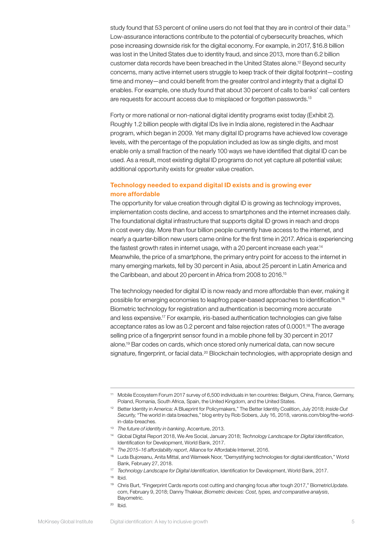study found that 53 percent of online users do not feel that they are in control of their data.<sup>11</sup> Low-assurance interactions contribute to the potential of cybersecurity breaches, which pose increasing downside risk for the digital economy. For example, in 2017, \$16.8 billion was lost in the United States due to identity fraud, and since 2013, more than 6.2 billion customer data records have been breached in the United States alone.12 Beyond security concerns, many active internet users struggle to keep track of their digital footprint—costing time and money—and could benefit from the greater control and integrity that a digital ID enables. For example, one study found that about 30 percent of calls to banks' call centers are requests for account access due to misplaced or forgotten passwords.13

Forty or more national or non-national digital identity programs exist today (Exhibit 2). Roughly 1.2 billion people with digital IDs live in India alone, registered in the Aadhaar program, which began in 2009. Yet many digital ID programs have achieved low coverage levels, with the percentage of the population included as low as single digits, and most enable only a small fraction of the nearly 100 ways we have identified that digital ID can be used. As a result, most existing digital ID programs do not yet capture all potential value; additional opportunity exists for greater value creation.

#### Technology needed to expand digital ID exists and is growing ever more affordable

The opportunity for value creation through digital ID is growing as technology improves, implementation costs decline, and access to smartphones and the internet increases daily. The foundational digital infrastructure that supports digital ID grows in reach and drops in cost every day. More than four billion people currently have access to the internet, and nearly a quarter-billion new users came online for the first time in 2017. Africa is experiencing the fastest growth rates in internet usage, with a 20 percent increase each year.<sup>14</sup> Meanwhile, the price of a smartphone, the primary entry point for access to the internet in many emerging markets, fell by 30 percent in Asia, about 25 percent in Latin America and the Caribbean, and about 20 percent in Africa from 2008 to 2016.15

The technology needed for digital ID is now ready and more affordable than ever, making it possible for emerging economies to leapfrog paper-based approaches to identification.16 Biometric technology for registration and authentication is becoming more accurate and less expensive.17 For example, iris-based authentication technologies can give false acceptance rates as low as 0.2 percent and false rejection rates of 0.0001.<sup>18</sup> The average selling price of a fingerprint sensor found in a mobile phone fell by 30 percent in 2017 alone.19 Bar codes on cards, which once stored only numerical data, can now secure signature, fingerprint, or facial data.<sup>20</sup> Blockchain technologies, with appropriate design and

<sup>11</sup> Mobile Ecosystem Forum 2017 survey of 6,500 individuals in ten countries: Belgium, China, France, Germany, Poland, Romania, South Africa, Spain, the United Kingdom, and the United States.

<sup>12</sup> Better Identity in America: A Blueprint for Policymakers," The Better Identity Coalition, July 2018; *Inside Out Security,* "The world in data breaches," blog entry by Rob Sobers, July 16, 2018, varonis.com/blog/the-worldin-data-breaches.

<sup>13</sup> *The future of identity in banking*, Accenture, 2013.

<sup>14</sup> Global Digital Report 2018, We Are Social, January 2018; *Technology Landscape for Digital Identification*, Identification for Development, World Bank, 2017.

<sup>15</sup> *The 2015–16 affordability report*, Alliance for Affordable Internet, 2016.

<sup>16</sup> Luda Bujoreanu, Anita Mittal, and Wameek Noor, "Demystifying technologies for digital identification," World Bank, February 27, 2018.

<sup>17</sup> *Technology Landscape for Digital Identification*, Identification for Development, World Bank, 2017.

<sup>18</sup> Ibid.

<sup>19</sup> Chris Burt, "Fingerprint Cards reports cost cutting and changing focus after tough 2017," BiometricUpdate. com, February 9, 2018; Danny Thakkar, *Biometric devices: Cost, types, and comparative analysis*, Bayometric.

<sup>20</sup> Ibid.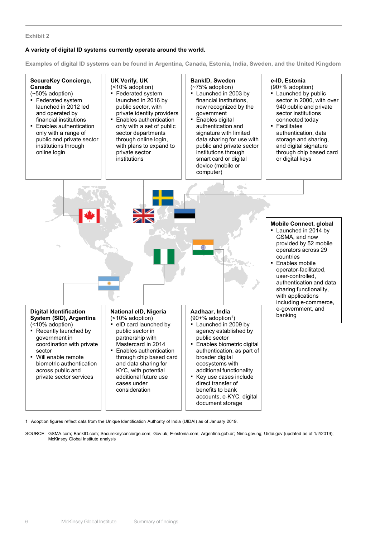#### **Exhibit 2**

#### **A variety of digital ID systems currently operate around the world.**

**Examples of digital ID systems can be found in Argentina, Canada, Estonia, India, Sweden, and the United Kingdom**



1 Adoption figures reflect data from the Unique Identification Authority of India (UIDAI) as of January 2019.

SOURCE: GSMA.com; BankID.com; Securekeyconcierge.com; Gov.uk; E-estonia.com; Argentina.gob.ar; Nimc.gov.ng; Uidai.gov (updated as of 1/2/2019); McKinsey Global Institute analysis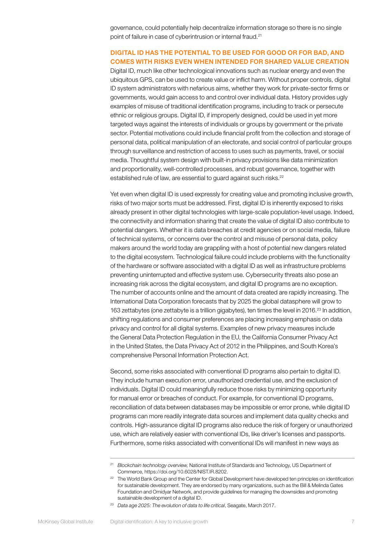governance, could potentially help decentralize information storage so there is no single point of failure in case of cyberintrusion or internal fraud.<sup>21</sup>

#### DIGITAL ID HAS THE POTENTIAL TO BE USED FOR GOOD OR FOR BAD, AND COMES WITH RISKS EVEN WHEN INTENDED FOR SHARED VALUE CREATION

Digital ID, much like other technological innovations such as nuclear energy and even the ubiquitous GPS, can be used to create value or inflict harm. Without proper controls, digital ID system administrators with nefarious aims, whether they work for private-sector firms or governments, would gain access to and control over individual data. History provides ugly examples of misuse of traditional identification programs, including to track or persecute ethnic or religious groups. Digital ID, if improperly designed, could be used in yet more targeted ways against the interests of individuals or groups by government or the private sector. Potential motivations could include financial profit from the collection and storage of personal data, political manipulation of an electorate, and social control of particular groups through surveillance and restriction of access to uses such as payments, travel, or social media. Thoughtful system design with built-in privacy provisions like data minimization and proportionality, well-controlled processes, and robust governance, together with established rule of law, are essential to guard against such risks.<sup>22</sup>

Yet even when digital ID is used expressly for creating value and promoting inclusive growth, risks of two major sorts must be addressed. First, digital ID is inherently exposed to risks already present in other digital technologies with large-scale population-level usage. Indeed, the connectivity and information sharing that create the value of digital ID also contribute to potential dangers. Whether it is data breaches at credit agencies or on social media, failure of technical systems, or concerns over the control and misuse of personal data, policy makers around the world today are grappling with a host of potential new dangers related to the digital ecosystem. Technological failure could include problems with the functionality of the hardware or software associated with a digital ID as well as infrastructure problems preventing uninterrupted and effective system use. Cybersecurity threats also pose an increasing risk across the digital ecosystem, and digital ID programs are no exception. The number of accounts online and the amount of data created are rapidly increasing. The International Data Corporation forecasts that by 2025 the global datasphere will grow to 163 zettabytes (one zettabyte is a trillion gigabytes), ten times the level in 2016.23 In addition, shifting regulations and consumer preferences are placing increasing emphasis on data privacy and control for all digital systems. Examples of new privacy measures include the General Data Protection Regulation in the EU, the California Consumer Privacy Act in the United States, the Data Privacy Act of 2012 in the Philippines, and South Korea's comprehensive Personal Information Protection Act.

Second, some risks associated with conventional ID programs also pertain to digital ID. They include human execution error, unauthorized credential use, and the exclusion of individuals. Digital ID could meaningfully reduce those risks by minimizing opportunity for manual error or breaches of conduct. For example, for conventional ID programs, reconciliation of data between databases may be impossible or error prone, while digital ID programs can more readily integrate data sources and implement data quality checks and controls. High-assurance digital ID programs also reduce the risk of forgery or unauthorized use, which are relatively easier with conventional IDs, like driver's licenses and passports. Furthermore, some risks associated with conventional IDs will manifest in new ways as

<sup>21</sup> *Blockchain technology overview,* National Institute of Standards and Technology, US Department of Commerce, https://doi.org/10.6028/NIST.IR.8202.

<sup>&</sup>lt;sup>22</sup> The World Bank Group and the Center for Global Development have developed ten principles on identification for sustainable development. They are endorsed by many organizations, such as the Bill & Melinda Gates Foundation and Omidyar Network, and provide guidelines for managing the downsides and promoting sustainable development of a digital ID.

<sup>23</sup> *Data age 2025: The evolution of data to life critical*, Seagate, March 2017.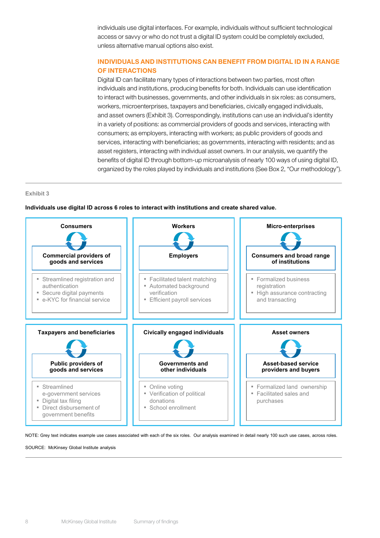individuals use digital interfaces. For example, individuals without sufficient technological access or savvy or who do not trust a digital ID system could be completely excluded, unless alternative manual options also exist.

#### INDIVIDUALS AND INSTITUTIONS CAN BENEFIT FROM DIGITAL ID IN A RANGE OF INTERACTIONS

Digital ID can facilitate many types of interactions between two parties, most often individuals and institutions, producing benefits for both. Individuals can use identification to interact with businesses, governments, and other individuals in six roles: as consumers, workers, microenterprises, taxpayers and beneficiaries, civically engaged individuals, and asset owners (Exhibit 3). Correspondingly, institutions can use an individual's identity in a variety of positions: as commercial providers of goods and services, interacting with consumers; as employers, interacting with workers; as public providers of goods and services, interacting with beneficiaries; as governments, interacting with residents; and as asset registers, interacting with individual asset owners. In our analysis, we quantify the benefits of digital ID through bottom-up microanalysis of nearly 100 ways of using digital ID, organized by the roles played by individuals and institutions (See Box 2, "Our methodology").

#### **Exhibit 3**



#### **Individuals use digital ID across 6 roles to interact with institutions and create shared value.**

NOTE: Grey text indicates example use cases associated with each of the six roles. Our analysis examined in detail nearly 100 such use cases, across roles.

SOURCE: McKinsey Global Institute analysis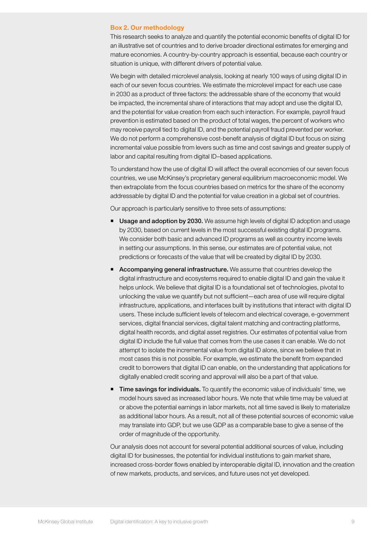#### Box 2. Our methodology

This research seeks to analyze and quantify the potential economic benefits of digital ID for an illustrative set of countries and to derive broader directional estimates for emerging and mature economies. A country-by-country approach is essential, because each country or situation is unique, with different drivers of potential value.

We begin with detailed microlevel analysis, looking at nearly 100 ways of using digital ID in each of our seven focus countries. We estimate the microlevel impact for each use case in 2030 as a product of three factors: the addressable share of the economy that would be impacted, the incremental share of interactions that may adopt and use the digital ID, and the potential for value creation from each such interaction. For example, payroll fraud prevention is estimated based on the product of total wages, the percent of workers who may receive payroll tied to digital ID, and the potential payroll fraud prevented per worker. We do not perform a comprehensive cost-benefit analysis of digital ID but focus on sizing incremental value possible from levers such as time and cost savings and greater supply of labor and capital resulting from digital ID–based applications.

To understand how the use of digital ID will affect the overall economies of our seven focus countries, we use McKinsey's proprietary general equilibrium macroeconomic model. We then extrapolate from the focus countries based on metrics for the share of the economy addressable by digital ID and the potential for value creation in a global set of countries.

Our approach is particularly sensitive to three sets of assumptions:

- **Usage and adoption by 2030.** We assume high levels of digital ID adoption and usage by 2030, based on current levels in the most successful existing digital ID programs. We consider both basic and advanced ID programs as well as country income levels in setting our assumptions. In this sense, our estimates are of potential value, not predictions or forecasts of the value that will be created by digital ID by 2030.
- **Accompanying general infrastructure.** We assume that countries develop the digital infrastructure and ecosystems required to enable digital ID and gain the value it helps unlock. We believe that digital ID is a foundational set of technologies, pivotal to unlocking the value we quantify but not sufficient—each area of use will require digital infrastructure, applications, and interfaces built by institutions that interact with digital ID users. These include sufficient levels of telecom and electrical coverage, e-government services, digital financial services, digital talent matching and contracting platforms, digital health records, and digital asset registries. Our estimates of potential value from digital ID include the full value that comes from the use cases it can enable. We do not attempt to isolate the incremental value from digital ID alone, since we believe that in most cases this is not possible. For example, we estimate the benefit from expanded credit to borrowers that digital ID can enable, on the understanding that applications for digitally enabled credit scoring and approval will also be a part of that value.
- **Time savings for individuals.** To quantify the economic value of individuals' time, we model hours saved as increased labor hours. We note that while time may be valued at or above the potential earnings in labor markets, not all time saved is likely to materialize as additional labor hours. As a result, not all of these potential sources of economic value may translate into GDP, but we use GDP as a comparable base to give a sense of the order of magnitude of the opportunity.

Our analysis does not account for several potential additional sources of value, including digital ID for businesses, the potential for individual institutions to gain market share, increased cross-border flows enabled by interoperable digital ID, innovation and the creation of new markets, products, and services, and future uses not yet developed.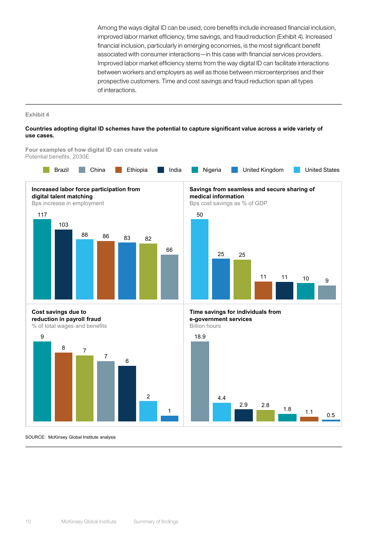Among the ways digital ID can be used, core benefits include increased financial inclusion, improved labor market efficiency, time savings, and fraud reduction (Exhibit 4). Increased financial inclusion, particularly in emerging economies, is the most significant benefit associated with consumer interactions—in this case with financial services providers. Improved labor market efficiency stems from the way digital ID can facilitate interactions between workers and employers as well as those between microenterprises and their prospective customers. Time and cost savings and fraud reduction span all types of interactions.

#### **Exhibit 4**

#### **Countries adopting digital ID schemes have the potential to capture significant value across a wide variety of use cases.**



SOURCE: McKinsey Global Institute analysis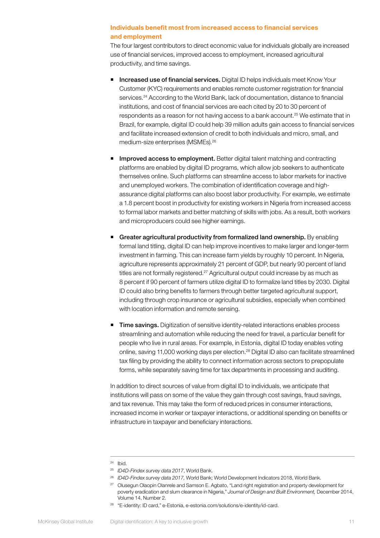#### Individuals benefit most from increased access to financial services and employment

The four largest contributors to direct economic value for individuals globally are increased use of financial services, improved access to employment, increased agricultural productivity, and time savings.

- **Increased use of financial services.** Digital ID helps individuals meet Know Your Customer (KYC) requirements and enables remote customer registration for financial services.<sup>24</sup> According to the World Bank, lack of documentation, distance to financial institutions, and cost of financial services are each cited by 20 to 30 percent of respondents as a reason for not having access to a bank account.25 We estimate that in Brazil, for example, digital ID could help 39 million adults gain access to financial services and facilitate increased extension of credit to both individuals and micro, small, and medium-size enterprises (MSMEs).26
- Improved access to employment. Better digital talent matching and contracting platforms are enabled by digital ID programs, which allow job seekers to authenticate themselves online. Such platforms can streamline access to labor markets for inactive and unemployed workers. The combination of identification coverage and highassurance digital platforms can also boost labor productivity. For example, we estimate a 1.8 percent boost in productivity for existing workers in Nigeria from increased access to formal labor markets and better matching of skills with jobs. As a result, both workers and microproducers could see higher earnings.
- Greater agricultural productivity from formalized land ownership. By enabling formal land titling, digital ID can help improve incentives to make larger and longer-term investment in farming. This can increase farm yields by roughly 10 percent. In Nigeria, agriculture represents approximately 21 percent of GDP, but nearly 90 percent of land titles are not formally registered.<sup>27</sup> Agricultural output could increase by as much as 8 percent if 90 percent of farmers utilize digital ID to formalize land titles by 2030. Digital ID could also bring benefits to farmers through better targeted agricultural support, including through crop insurance or agricultural subsidies, especially when combined with location information and remote sensing.
- Time savings. Digitization of sensitive identity-related interactions enables process streamlining and automation while reducing the need for travel, a particular benefit for people who live in rural areas. For example, in Estonia, digital ID today enables voting online, saving 11,000 working days per election.<sup>28</sup> Digital ID also can facilitate streamlined tax filing by providing the ability to connect information across sectors to prepopulate forms, while separately saving time for tax departments in processing and auditing.

In addition to direct sources of value from digital ID to individuals, we anticipate that institutions will pass on some of the value they gain through cost savings, fraud savings, and tax revenue. This may take the form of reduced prices in consumer interactions, increased income in worker or taxpayer interactions, or additional spending on benefits or infrastructure in taxpayer and beneficiary interactions.

<sup>26</sup> *ID4D-Findex survey data 2017,* World Bank; World Development Indicators 2018, World Bank.

<sup>28</sup> "E-identity: ID card," e-Estonia, e-estonia.com/solutions/e-identity/id-card.

 $24$  Ibid.

<sup>25</sup> *ID4D-Findex survey data 2017*, World Bank.

<sup>&</sup>lt;sup>27</sup> Olusegun Olaopin Olanrele and Samson E. Agbato, "Land right registration and property development for poverty eradication and slum clearance in Nigeria," *Journal of Design and Built Environment,* December 2014, Volume 14, Number 2.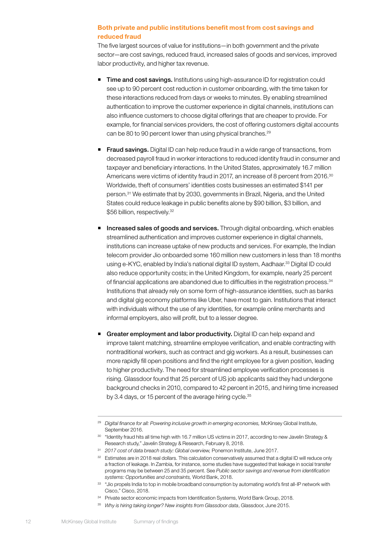#### Both private and public institutions benefit most from cost savings and reduced fraud

The five largest sources of value for institutions—in both government and the private sector—are cost savings, reduced fraud, increased sales of goods and services, improved labor productivity, and higher tax revenue.

- **Time and cost savings.** Institutions using high-assurance ID for registration could see up to 90 percent cost reduction in customer onboarding, with the time taken for these interactions reduced from days or weeks to minutes. By enabling streamlined authentication to improve the customer experience in digital channels, institutions can also influence customers to choose digital offerings that are cheaper to provide. For example, for financial services providers, the cost of offering customers digital accounts can be 80 to 90 percent lower than using physical branches.<sup>29</sup>
- **Fraud savings.** Digital ID can help reduce fraud in a wide range of transactions, from decreased payroll fraud in worker interactions to reduced identity fraud in consumer and taxpayer and beneficiary interactions. In the United States, approximately 16.7 million Americans were victims of identity fraud in 2017, an increase of 8 percent from 2016.<sup>30</sup> Worldwide, theft of consumers' identities costs businesses an estimated \$141 per person.31 We estimate that by 2030, governments in Brazil, Nigeria, and the United States could reduce leakage in public benefits alone by \$90 billion, \$3 billion, and \$56 billion, respectively.<sup>32</sup>
- **Increased sales of goods and services.** Through digital onboarding, which enables streamlined authentication and improves customer experience in digital channels, institutions can increase uptake of new products and services. For example, the Indian telecom provider Jio onboarded some 160 million new customers in less than 18 months using e-KYC, enabled by India's national digital ID system, Aadhaar.<sup>33</sup> Digital ID could also reduce opportunity costs; in the United Kingdom, for example, nearly 25 percent of financial applications are abandoned due to difficulties in the registration process.<sup>34</sup> Institutions that already rely on some form of high-assurance identities, such as banks and digital gig economy platforms like Uber, have most to gain. Institutions that interact with individuals without the use of any identities, for example online merchants and informal employers, also will profit, but to a lesser degree.
- Greater employment and labor productivity. Digital ID can help expand and improve talent matching, streamline employee verification, and enable contracting with nontraditional workers, such as contract and gig workers. As a result, businesses can more rapidly fill open positions and find the right employee for a given position, leading to higher productivity. The need for streamlined employee verification processes is rising. Glassdoor found that 25 percent of US job applicants said they had undergone background checks in 2010, compared to 42 percent in 2015, and hiring time increased by 3.4 days, or 15 percent of the average hiring cycle.<sup>35</sup>

<sup>&</sup>lt;sup>29</sup> Digital finance for all: Powering inclusive growth in emerging economies, McKinsey Global Institute, September 2016.

<sup>&</sup>lt;sup>30</sup> "Identity fraud hits all time high with 16.7 million US victims in 2017, according to new Javelin Strategy & Research study," Javelin Strategy & Research, February 8, 2018.

<sup>31</sup> *2017 cost of data breach study: Global overview,* Ponemon Institute, June 2017.

<sup>&</sup>lt;sup>32</sup> Estimates are in 2018 real dollars. This calculation conservatively assumed that a digital ID will reduce only a fraction of leakage. In Zambia, for instance, some studies have suggested that leakage in social transfer programs may be between 25 and 35 percent. See *Public sector savings and revenue from identification systems: Opportunities and constraints,* World Bank, 2018.

<sup>33</sup> "Jio propels India to top in mobile broadband consumption by automating world's first all-IP network with Cisco," Cisco, 2018.

<sup>&</sup>lt;sup>34</sup> Private sector economic impacts from Identification Systems, World Bank Group, 2018.

<sup>35</sup> *Why is hiring taking longer? New insights from Glassdoor data*, Glassdoor, June 2015.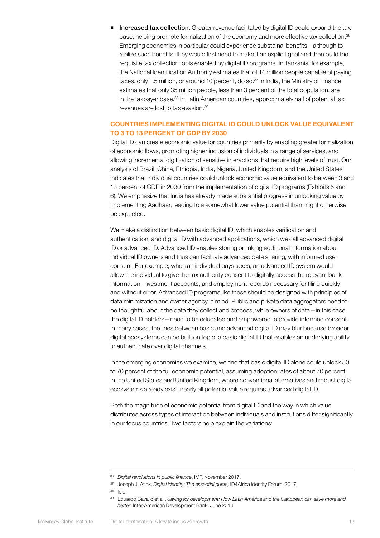Increased tax collection. Greater revenue facilitated by digital ID could expand the tax base, helping promote formalization of the economy and more effective tax collection.<sup>36</sup> Emerging economies in particular could experience substainal benefits—although to realize such benefits, they would first need to make it an explicit goal and then build the requisite tax collection tools enabled by digital ID programs. In Tanzania, for example, the National Identification Authority estimates that of 14 million people capable of paying taxes, only 1.5 million, or around 10 percent, do so.<sup>37</sup> In India, the Ministry of Finance estimates that only 35 million people, less than 3 percent of the total population, are in the taxpayer base.<sup>38</sup> In Latin American countries, approximately half of potential tax revenues are lost to tax evasion.39

#### COUNTRIES IMPLEMENTING DIGITAL ID COULD UNLOCK VALUE EQUIVALENT TO 3 TO 13 PERCENT OF GDP BY 2030

Digital ID can create economic value for countries primarily by enabling greater formalization of economic flows, promoting higher inclusion of individuals in a range of services, and allowing incremental digitization of sensitive interactions that require high levels of trust. Our analysis of Brazil, China, Ethiopia, India, Nigeria, United Kingdom, and the United States indicates that individual countries could unlock economic value equivalent to between 3 and 13 percent of GDP in 2030 from the implementation of digital ID programs (Exhibits 5 and 6). We emphasize that India has already made substantial progress in unlocking value by implementing Aadhaar, leading to a somewhat lower value potential than might otherwise be expected.

We make a distinction between basic digital ID, which enables verification and authentication, and digital ID with advanced applications, which we call advanced digital ID or advanced ID. Advanced ID enables storing or linking additional information about individual ID owners and thus can facilitate advanced data sharing, with informed user consent. For example, when an individual pays taxes, an advanced ID system would allow the individual to give the tax authority consent to digitally access the relevant bank information, investment accounts, and employment records necessary for filing quickly and without error. Advanced ID programs like these should be designed with principles of data minimization and owner agency in mind. Public and private data aggregators need to be thoughtful about the data they collect and process, while owners of data—in this case the digital ID holders—need to be educated and empowered to provide informed consent. In many cases, the lines between basic and advanced digital ID may blur because broader digital ecosystems can be built on top of a basic digital ID that enables an underlying ability to authenticate over digital channels.

In the emerging economies we examine, we find that basic digital ID alone could unlock 50 to 70 percent of the full economic potential, assuming adoption rates of about 70 percent. In the United States and United Kingdom, where conventional alternatives and robust digital ecosystems already exist, nearly all potential value requires advanced digital ID.

Both the magnitude of economic potential from digital ID and the way in which value distributes across types of interaction between individuals and institutions differ significantly in our focus countries. Two factors help explain the variations:

<sup>36</sup> *Digital revolutions in public finance*, IMF, November 2017.

<sup>37</sup> Joseph J. Atick, *Digital identity: The essential guide,* ID4Africa Identity Forum, 2017.

<sup>38</sup> Ibid.

<sup>39</sup> Eduardo Cavallo et al., *Saving for development: How Latin America and the Caribbean can save more and better*, Inter-American Development Bank, June 2016.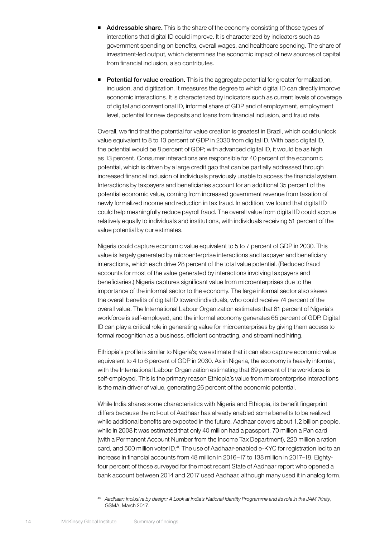- **Addressable share.** This is the share of the economy consisting of those types of interactions that digital ID could improve. It is characterized by indicators such as government spending on benefits, overall wages, and healthcare spending. The share of investment-led output, which determines the economic impact of new sources of capital from financial inclusion, also contributes.
- Potential for value creation. This is the aggregate potential for greater formalization, inclusion, and digitization. It measures the degree to which digital ID can directly improve economic interactions. It is characterized by indicators such as current levels of coverage of digital and conventional ID, informal share of GDP and of employment, employment level, potential for new deposits and loans from financial inclusion, and fraud rate.

Overall, we find that the potential for value creation is greatest in Brazil, which could unlock value equivalent to 8 to 13 percent of GDP in 2030 from digital ID. With basic digital ID, the potential would be 8 percent of GDP; with advanced digital ID, it would be as high as 13 percent. Consumer interactions are responsible for 40 percent of the economic potential, which is driven by a large credit gap that can be partially addressed through increased financial inclusion of individuals previously unable to access the financial system. Interactions by taxpayers and beneficiaries account for an additional 35 percent of the potential economic value, coming from increased government revenue from taxation of newly formalized income and reduction in tax fraud. In addition, we found that digital ID could help meaningfully reduce payroll fraud. The overall value from digital ID could accrue relatively equally to individuals and institutions, with individuals receiving 51 percent of the value potential by our estimates.

Nigeria could capture economic value equivalent to 5 to 7 percent of GDP in 2030. This value is largely generated by microenterprise interactions and taxpayer and beneficiary interactions, which each drive 28 percent of the total value potential. (Reduced fraud accounts for most of the value generated by interactions involving taxpayers and beneficiaries.) Nigeria captures significant value from microenterprises due to the importance of the informal sector to the economy. The large informal sector also skews the overall benefits of digital ID toward individuals, who could receive 74 percent of the overall value. The International Labour Organization estimates that 81 percent of Nigeria's workforce is self-employed, and the informal economy generates 65 percent of GDP. Digital ID can play a critical role in generating value for microenterprises by giving them access to formal recognition as a business, efficient contracting, and streamlined hiring.

Ethiopia's profile is similar to Nigeria's; we estimate that it can also capture economic value equivalent to 4 to 6 percent of GDP in 2030. As in Nigeria, the economy is heavily informal, with the International Labour Organization estimating that 89 percent of the workforce is self-employed. This is the primary reason Ethiopia's value from microenterprise interactions is the main driver of value, generating 26 percent of the economic potential.

While India shares some characteristics with Nigeria and Ethiopia, its benefit fingerprint differs because the roll-out of Aadhaar has already enabled some benefits to be realized while additional benefits are expected in the future. Aadhaar covers about 1.2 billion people, while in 2008 it was estimated that only 40 million had a passport, 70 million a Pan card (with a Permanent Account Number from the Income Tax Department), 220 million a ration card, and 500 million voter ID.<sup>40</sup> The use of Aadhaar-enabled e-KYC for registration led to an increase in financial accounts from 48 million in 2016–17 to 138 million in 2017–18. Eightyfour percent of those surveyed for the most recent State of Aadhaar report who opened a bank account between 2014 and 2017 used Aadhaar, although many used it in analog form.

<sup>40</sup> *Aadhaar: Inclusive by design: A Look at India's National Identity Programme and its role in the JAM Trinity*, GSMA, March 2017.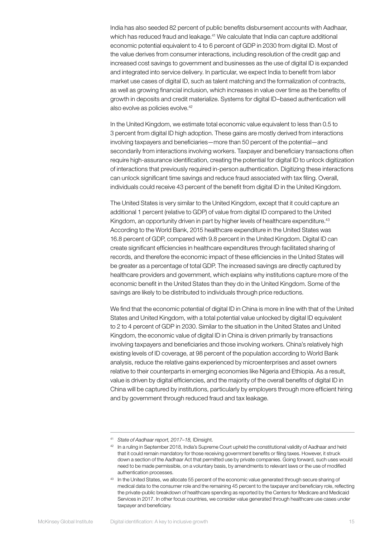India has also seeded 82 percent of public benefits disbursement accounts with Aadhaar, which has reduced fraud and leakage.<sup>41</sup> We calculate that India can capture additional economic potential equivalent to 4 to 6 percent of GDP in 2030 from digital ID. Most of the value derives from consumer interactions, including resolution of the credit gap and increased cost savings to government and businesses as the use of digital ID is expanded and integrated into service delivery. In particular, we expect India to benefit from labor market use cases of digital ID, such as talent matching and the formalization of contracts, as well as growing financial inclusion, which increases in value over time as the benefits of growth in deposits and credit materialize. Systems for digital ID–based authentication will also evolve as policies evolve.<sup>42</sup>

In the United Kingdom, we estimate total economic value equivalent to less than 0.5 to 3 percent from digital ID high adoption. These gains are mostly derived from interactions involving taxpayers and beneficiaries—more than 50 percent of the potential—and secondarily from interactions involving workers. Taxpayer and beneficiary transactions often require high-assurance identification, creating the potential for digital ID to unlock digitization of interactions that previously required in-person authentication. Digitizing these interactions can unlock significant time savings and reduce fraud associated with tax filing. Overall, individuals could receive 43 percent of the benefit from digital ID in the United Kingdom.

The United States is very similar to the United Kingdom, except that it could capture an additional 1 percent (relative to GDP) of value from digital ID compared to the United Kingdom, an opportunity driven in part by higher levels of healthcare expenditure.<sup>43</sup> According to the World Bank, 2015 healthcare expenditure in the United States was 16.8 percent of GDP, compared with 9.8 percent in the United Kingdom. Digital ID can create significant efficiencies in healthcare expenditures through facilitated sharing of records, and therefore the economic impact of these efficiencies in the United States will be greater as a percentage of total GDP. The increased savings are directly captured by healthcare providers and government, which explains why institutions capture more of the economic benefit in the United States than they do in the United Kingdom. Some of the savings are likely to be distributed to individuals through price reductions.

We find that the economic potential of digital ID in China is more in line with that of the United States and United Kingdom, with a total potential value unlocked by digital ID equivalent to 2 to 4 percent of GDP in 2030. Similar to the situation in the United States and United Kingdom, the economic value of digital ID in China is driven primarily by transactions involving taxpayers and beneficiaries and those involving workers. China's relatively high existing levels of ID coverage, at 98 percent of the population according to World Bank analysis, reduce the relative gains experienced by microenterprises and asset owners relative to their counterparts in emerging economies like Nigeria and Ethiopia. As a result, value is driven by digital efficiencies, and the majority of the overall benefits of digital ID in China will be captured by institutions, particularly by employers through more efficient hiring and by government through reduced fraud and tax leakage.

<sup>41</sup> *State of Aadhaar report, 2017–18,* IDinsight.

<sup>&</sup>lt;sup>42</sup> In a ruling in September 2018, India's Supreme Court upheld the constitutional validity of Aadhaar and held that it could remain mandatory for those receiving government benefits or filing taxes. However, it struck down a section of the Aadhaar Act that permitted use by private companies. Going forward, such uses would need to be made permissible, on a voluntary basis, by amendments to relevant laws or the use of modified authentication processes.

<sup>43</sup> In the United States, we allocate 55 percent of the economic value generated through secure sharing of medical data to the consumer role and the remaining 45 percent to the taxpayer and beneficiary role, reflecting the private-public breakdown of healthcare spending as reported by the Centers for Medicare and Medicaid Services in 2017. In other focus countries, we consider value generated through healthcare use cases under taxpayer and beneficiary.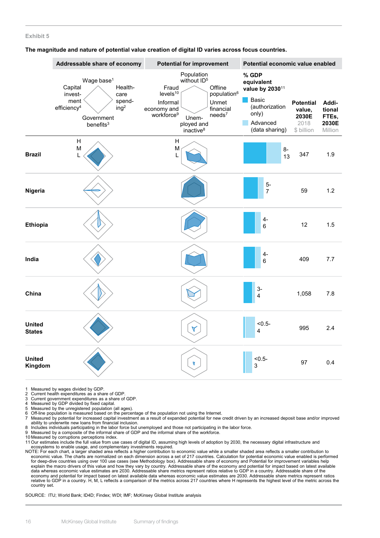#### **Exhibit 5**

**The magnitude and nature of potential value creation of digital ID varies across focus countries.** 

|                                | Addressable share of economy                                                                                                                                   | <b>Potential for improvement</b>                                                                                                                                                                                                                                 | Potential economic value enabled                                                                                     |                                                           |                                              |  |  |  |  |
|--------------------------------|----------------------------------------------------------------------------------------------------------------------------------------------------------------|------------------------------------------------------------------------------------------------------------------------------------------------------------------------------------------------------------------------------------------------------------------|----------------------------------------------------------------------------------------------------------------------|-----------------------------------------------------------|----------------------------------------------|--|--|--|--|
|                                | Wage base <sup>1</sup><br>Health-<br>Capital<br>invest-<br>care<br>ment<br>spend-<br>efficiency <sup>4</sup><br>ing <sup>2</sup><br>Government<br>benefits $3$ | Population<br>without ID <sup>5</sup><br>Offline<br>Fraud<br>levels <sup>10</sup><br>population <sup>6</sup><br>Unmet<br>Informal<br>economy and<br>financial<br>workforce <sup>9</sup><br>$need$ s <sup>7</sup><br>Unem-<br>ployed and<br>inactive <sup>8</sup> | % GDP<br>equivalent<br>value by 2030 <sup>11</sup><br>Basic<br>(authorization<br>only)<br>Advanced<br>(data sharing) | <b>Potential</b><br>value,<br>2030E<br>2018<br>\$ billion | Addi-<br>tional<br>FTEs,<br>2030E<br>Million |  |  |  |  |
| <b>Brazil</b>                  | $\mathsf{H}$<br>M<br>$\mathbf{I}$                                                                                                                              | H<br>M<br>L                                                                                                                                                                                                                                                      | 8-<br>13                                                                                                             | 347                                                       | 1.9                                          |  |  |  |  |
| Nigeria                        |                                                                                                                                                                |                                                                                                                                                                                                                                                                  | $5-$<br>$\overline{7}$                                                                                               | 59                                                        | 1.2                                          |  |  |  |  |
| <b>Ethiopia</b>                |                                                                                                                                                                |                                                                                                                                                                                                                                                                  | $4-$<br>6                                                                                                            | 12                                                        | 1.5                                          |  |  |  |  |
| India                          |                                                                                                                                                                |                                                                                                                                                                                                                                                                  | 4-<br>$6\phantom{1}$                                                                                                 | 409                                                       | 7.7                                          |  |  |  |  |
| China                          |                                                                                                                                                                |                                                                                                                                                                                                                                                                  | $3-$<br>4                                                                                                            | 1,058                                                     | 7.8                                          |  |  |  |  |
| <b>United</b><br><b>States</b> |                                                                                                                                                                | ۲                                                                                                                                                                                                                                                                | $< 0.5 -$<br>4                                                                                                       | 995                                                       | 2.4                                          |  |  |  |  |
| <b>United</b><br>Kingdom       |                                                                                                                                                                | A                                                                                                                                                                                                                                                                | $< 0.5 -$<br>3                                                                                                       | 97                                                        | 0.4                                          |  |  |  |  |

1 Measured by wages divided by GDP.<br>2 Current health expenditures as a sha

- Current health expenditures as a share of GDP.
- 3 Current government expenditures as a share of GDP.
- 4 Measured by GDP divided by fixed capital.<br>5 Measured by the unregistered population (
- 5 Measured by the unregistered population (all ages).<br>6 Off-line population is measured based on the perce 7 Measured by potential for increased capital investment
- 6 Off-line population is measured based on the percentage of the population not using the Internet.<br>7 Measured by potential for increased capital investment as a result of expanded potential for new credit driven by an i ability to underwrite new loans from financial inclusion.
- 8 Includes individuals participating in the labor force but unemployed and those not participating in the labor force. 9 Measured by a composite of the informal share of GDP and the informal share of the workforce.
- 
- 10 Measured by corruptions perceptions index.

11 Our estimates include the full value from use cases of digital ID, assuming high levels of adoption by 2030, the necessary digital infrastructure and ecosystems to enable usage, and complementary investments required.

NOTE: For each chart, a larger shaded area reflects a higher contribution to economic value while a smaller shaded area reflects a smaller contribution to economic value. The charts are normalized on each dimension across a set of 217 countries. Calculation for potential economic value enabled is performed<br>for deep-dive countries using over 100 use cases (see Methodology box explain the macro drivers of this value and how they vary by country. Addressable share of the economy and potential for impact based on latest available<br>data whereas economic value estimates are 2030. Addressable share me economy and potential for impact based on latest available data whereas economic value estimates are 2030. Addressable share metrics represent ratios<br>relative to GDP in a country. H, M, L reflects a comparison of the metri country set.

SOURCE: ITU; World Bank; ID4D; Findex; WDI; IMF; McKinsey Global Institute analysis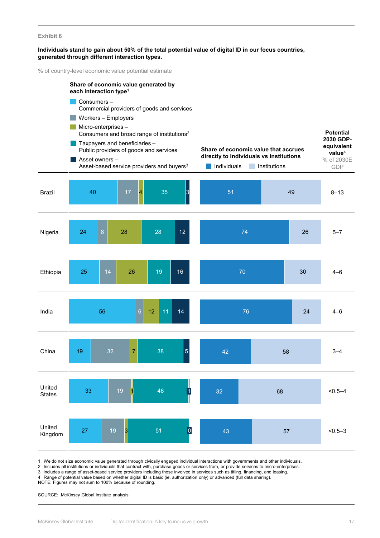#### **Exhibit 6**

#### **Individuals stand to gain about 50% of the total potential value of digital ID in our focus countries, generated through different interaction types.**

% of country-level economic value potential estimate

|                         | Share of economic value generated by<br>each interaction type <sup>1</sup>                                                                                                                                                                                |                                  |                                                                                                |                                                                                               |             |  |  |  |
|-------------------------|-----------------------------------------------------------------------------------------------------------------------------------------------------------------------------------------------------------------------------------------------------------|----------------------------------|------------------------------------------------------------------------------------------------|-----------------------------------------------------------------------------------------------|-------------|--|--|--|
|                         | Consumers-<br>Commercial providers of goods and services                                                                                                                                                                                                  |                                  |                                                                                                |                                                                                               |             |  |  |  |
|                         | Workers - Employers<br>Micro-enterprises-<br>Consumers and broad range of institutions <sup>2</sup><br>Taxpayers and beneficiaries -<br>Public providers of goods and services<br>Asset owners -<br>Asset-based service providers and buyers <sup>3</sup> |                                  | Share of economic value that accrues<br>directly to individuals vs institutions<br>Individuals | <b>Potential</b><br>2030 GDP-<br>equivalent<br>value <sup>4</sup><br>% of 2030E<br><b>GDP</b> |             |  |  |  |
| <b>Brazil</b>           | 17<br>40                                                                                                                                                                                                                                                  | $\overline{4}$<br>35<br>3        | 51                                                                                             | 49                                                                                            | $8 - 13$    |  |  |  |
| Nigeria                 | $\bf 8$<br>24<br>28                                                                                                                                                                                                                                       | 28<br>12                         | 74                                                                                             | 26                                                                                            | $5 - 7$     |  |  |  |
| Ethiopia                | 14<br>25<br>26                                                                                                                                                                                                                                            | 19<br>16                         | 70                                                                                             | 30                                                                                            | $4 - 6$     |  |  |  |
| India                   | 56                                                                                                                                                                                                                                                        | $\overline{6}$<br>11<br>12<br>14 | 76                                                                                             | 24                                                                                            | $4 - 6$     |  |  |  |
| China                   | 19<br>32<br>$\overline{7}$                                                                                                                                                                                                                                | $\overline{5}$<br>38             | 42                                                                                             | 58                                                                                            | $3 - 4$     |  |  |  |
| United<br><b>States</b> | 19<br>33<br>$\vert$ 1 $\vert$                                                                                                                                                                                                                             | $\vert$ 1<br>46                  | 32                                                                                             | 68                                                                                            | $< 0.5 - 4$ |  |  |  |
| United<br>Kingdom       | 19<br>27<br>3                                                                                                                                                                                                                                             | $\overline{\mathsf{p}}$<br>51    | 43                                                                                             | 57                                                                                            | $< 0.5 - 3$ |  |  |  |

1 We do not size economic value generated through civically engaged individual interactions with governments and other individuals.

2 Includes all institutions or individuals that contract with, purchase goods or services from, or provide services to micro-enterprises.

3 includes a range of asset-based service providers including those involved in services such as titling, financing, and leasing.

4 Range of potential value based on whether digital ID is basic (ie, authorization only) or advanced (full data sharing).

NOTE: Figures may not sum to 100% because of rounding.

SOURCE: McKinsey Global Institute analysis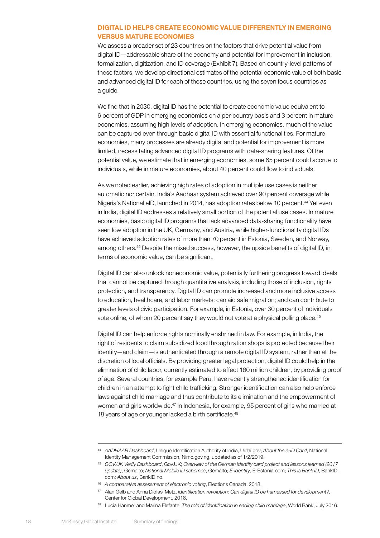#### DIGITAL ID HELPS CREATE ECONOMIC VALUE DIFFERENTLY IN EMERGING VERSUS MATURE ECONOMIES

We assess a broader set of 23 countries on the factors that drive potential value from digital ID—addressable share of the economy and potential for improvement in inclusion, formalization, digitization, and ID coverage (Exhibit 7). Based on country-level patterns of these factors, we develop directional estimates of the potential economic value of both basic and advanced digital ID for each of these countries, using the seven focus countries as a guide.

We find that in 2030, digital ID has the potential to create economic value equivalent to 6 percent of GDP in emerging economies on a per-country basis and 3 percent in mature economies, assuming high levels of adoption. In emerging economies, much of the value can be captured even through basic digital ID with essential functionalities. For mature economies, many processes are already digital and potential for improvement is more limited, necessitating advanced digital ID programs with data-sharing features. Of the potential value, we estimate that in emerging economies, some 65 percent could accrue to individuals, while in mature economies, about 40 percent could flow to individuals.

As we noted earlier, achieving high rates of adoption in multiple use cases is neither automatic nor certain. India's Aadhaar system achieved over 90 percent coverage while Nigeria's National eID, launched in 2014, has adoption rates below 10 percent.<sup>44</sup> Yet even in India, digital ID addresses a relatively small portion of the potential use cases. In mature economies, basic digital ID programs that lack advanced data-sharing functionality have seen low adoption in the UK, Germany, and Austria, while higher-functionality digital IDs have achieved adoption rates of more than 70 percent in Estonia, Sweden, and Norway, among others.45 Despite the mixed success, however, the upside benefits of digital ID, in terms of economic value, can be significant.

Digital ID can also unlock noneconomic value, potentially furthering progress toward ideals that cannot be captured through quantitative analysis, including those of inclusion, rights protection, and transparency. Digital ID can promote increased and more inclusive access to education, healthcare, and labor markets; can aid safe migration; and can contribute to greater levels of civic participation. For example, in Estonia, over 30 percent of individuals vote online, of whom 20 percent say they would not vote at a physical polling place.<sup>46</sup>

Digital ID can help enforce rights nominally enshrined in law. For example, in India, the right of residents to claim subsidized food through ration shops is protected because their identity—and claim—is authenticated through a remote digital ID system, rather than at the discretion of local officials. By providing greater legal protection, digital ID could help in the elimination of child labor, currently estimated to affect 160 million children, by providing proof of age. Several countries, for example Peru, have recently strengthened identification for children in an attempt to fight child trafficking. Stronger identification can also help enforce laws against child marriage and thus contribute to its elimination and the empowerment of women and girls worldwide.<sup>47</sup> In Indonesia, for example, 95 percent of girls who married at 18 years of age or younger lacked a birth certificate.<sup>48</sup>

<sup>48</sup> Lucia Hanmer and Marina Elefante, *The role of identification in ending child marriage*, World Bank, July 2016.

<sup>44</sup> *AADHAAR Dashboard*, Unique Identification Authority of India, Uidai.gov; *About the e-ID Card*, National Identity Management Commission, Nimc.gov.ng, updated as of 1/2/2019.

<sup>45</sup> *GOV.UK Verify Dashboard*, Gov.UK; *Overview of the German identity card project and lessons learned (2017 update)*, Gemalto; *National Mobile ID schemes*, Gemalto; *E-identity*, E-Estonia.com; *This is Bank ID*, BankID. com; *About us*, BankID.no.

<sup>46</sup> *A comparative assessment of electronic voting*, Elections Canada, 2018.

<sup>47</sup> Alan Gelb and Anna Diofasi Metz, *Identification revolution: Can digital ID be harnessed for development?,*  Center for Global Development, 2018.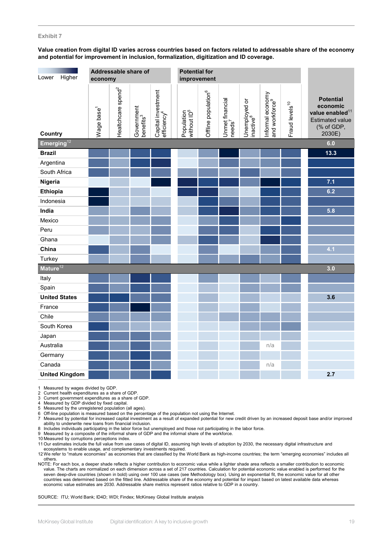#### **Exhibit 7**

#### **Value creation from digital ID varies across countries based on factors related to addressable share of the economy and potential for improvement in inclusion, formalization, digitization and ID coverage.**

| Higher<br>Lower                             | <b>Potential for</b><br>Addressable share of<br>economy<br>improvement |                                |                                     |                                               |                                       |                                 |                                        |                                        |                                                |                            |                                                                                                               |
|---------------------------------------------|------------------------------------------------------------------------|--------------------------------|-------------------------------------|-----------------------------------------------|---------------------------------------|---------------------------------|----------------------------------------|----------------------------------------|------------------------------------------------|----------------------------|---------------------------------------------------------------------------------------------------------------|
| Country                                     | Wage base <sup>1</sup>                                                 | Healtchcare spend <sup>2</sup> | Government<br>benefits <sup>3</sup> | Capital investment<br>efficiency <sup>4</sup> | Population<br>without ID <sup>5</sup> | Offline population <sup>6</sup> | Unmet financial<br> needs <sup>7</sup> | Unemployed or<br>inactive <sup>8</sup> | Informal economy<br>and workforce <sup>9</sup> | Fraud levels <sup>10</sup> | <b>Potential</b><br>economic<br>value enabled <sup>11</sup><br><b>Estimated value</b><br>(% of GDP,<br>2030E) |
| Emerging <sup>12</sup><br>6.0               |                                                                        |                                |                                     |                                               |                                       |                                 |                                        |                                        |                                                |                            |                                                                                                               |
| <b>Brazil</b>                               |                                                                        |                                |                                     |                                               |                                       |                                 |                                        |                                        |                                                |                            | 13.3                                                                                                          |
| Argentina                                   |                                                                        |                                |                                     |                                               |                                       |                                 |                                        |                                        |                                                |                            |                                                                                                               |
| South Africa                                |                                                                        |                                |                                     |                                               |                                       |                                 |                                        |                                        |                                                |                            |                                                                                                               |
| Nigeria                                     |                                                                        |                                |                                     |                                               |                                       |                                 |                                        |                                        |                                                |                            | 7.1                                                                                                           |
| <b>Ethiopia</b>                             |                                                                        |                                |                                     |                                               |                                       |                                 |                                        |                                        |                                                |                            | 6.2                                                                                                           |
| Indonesia                                   |                                                                        |                                |                                     |                                               |                                       |                                 |                                        |                                        |                                                |                            |                                                                                                               |
| India                                       |                                                                        |                                |                                     |                                               |                                       |                                 |                                        |                                        |                                                |                            | 5.8                                                                                                           |
| Mexico                                      |                                                                        |                                |                                     |                                               |                                       |                                 |                                        |                                        |                                                |                            |                                                                                                               |
| Peru                                        |                                                                        |                                |                                     |                                               |                                       |                                 |                                        |                                        |                                                |                            |                                                                                                               |
| Ghana                                       |                                                                        |                                |                                     |                                               |                                       |                                 |                                        |                                        |                                                |                            |                                                                                                               |
| China                                       |                                                                        |                                |                                     |                                               |                                       |                                 |                                        |                                        |                                                |                            | 4.1                                                                                                           |
| Turkey                                      |                                                                        |                                |                                     |                                               |                                       |                                 |                                        |                                        |                                                |                            |                                                                                                               |
| $\overline{\mathsf{M}}$ ature <sup>12</sup> |                                                                        |                                |                                     |                                               |                                       |                                 |                                        |                                        |                                                |                            | 3.0                                                                                                           |
| Italy                                       |                                                                        |                                |                                     |                                               |                                       |                                 |                                        |                                        |                                                |                            |                                                                                                               |
| Spain                                       |                                                                        |                                |                                     |                                               |                                       |                                 |                                        |                                        |                                                |                            |                                                                                                               |
| <b>United States</b>                        |                                                                        |                                |                                     |                                               |                                       |                                 |                                        |                                        |                                                |                            | 3.6                                                                                                           |
| France                                      |                                                                        |                                |                                     |                                               |                                       |                                 |                                        |                                        |                                                |                            |                                                                                                               |
| Chile                                       |                                                                        |                                |                                     |                                               |                                       |                                 |                                        |                                        |                                                |                            |                                                                                                               |
| South Korea                                 |                                                                        |                                |                                     |                                               |                                       |                                 |                                        |                                        |                                                |                            |                                                                                                               |
| Japan                                       |                                                                        |                                |                                     |                                               |                                       |                                 |                                        |                                        |                                                |                            |                                                                                                               |
| Australia                                   |                                                                        |                                |                                     |                                               |                                       |                                 |                                        |                                        | n/a                                            |                            |                                                                                                               |
| Germany                                     |                                                                        |                                |                                     |                                               |                                       |                                 |                                        |                                        |                                                |                            |                                                                                                               |
| Canada                                      |                                                                        |                                |                                     |                                               |                                       |                                 |                                        |                                        | n/a                                            |                            |                                                                                                               |
| <b>United Kingdom</b>                       |                                                                        |                                |                                     |                                               |                                       |                                 |                                        |                                        |                                                |                            | 2.7                                                                                                           |

1 Measured by wages divided by GDP.

2 Current health expenditures as a share of GDP.

3 Current government expenditures as a share of GDP.

4 Measured by GDP divided by fixed capital.<br>5 Measured by the unregistered population (

Measured by the unregistered population (all ages).

6 Off-line population is measured based on the percentage of the population not using the Internet.<br>7 Measured by potential for increased capital investment as a result of expanded potential for new credit driven by an i ability to underwrite new loans from financial inclusion.

8 Includes individuals participating in the labor force but unemployed and those not participating in the labor force.

Measured by a composite of the informal share of GDP and the informal share of the workforce.

10 Measured by corruptions perceptions index.

11 Our estimates include the full value from use cases of digital ID, assuming high levels of adoption by 2030, the necessary digital infrastructure and

ecosystems to enable usage, and complementary investments required.

12 We refer to "mature economies" as economies that are classified by the World Bank as high-income countries; the term "emerging economies" includes all others.

NOTE: For each box, a deeper shade reflects a higher contribution to economic value while a lighter shade area reflects a smaller contribution to economic value. The charts are normalized on each dimension across a set of 217 countries. Calculation for potential economic value enabled is performed for the seven deep-dive countries (shown in bold) using over 100 use cases (see Methodology box). Using an exponential fit, the economic value for all other countries was determined based on the fitted line. Addressable share of the economy and potential for impact based on latest available data whereas economic value estimates are 2030. Addressable share metrics represent ratios relative to GDP in a country.

SOURCE: ITU; World Bank; ID4D; WDI; Findex; McKinsey Global Institute analysis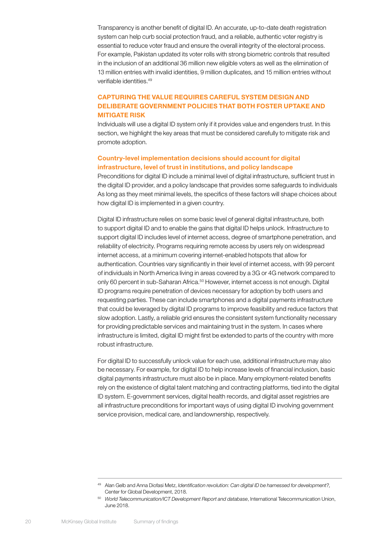Transparency is another benefit of digital ID. An accurate, up-to-date death registration system can help curb social protection fraud, and a reliable, authentic voter registry is essential to reduce voter fraud and ensure the overall integrity of the electoral process. For example, Pakistan updated its voter rolls with strong biometric controls that resulted in the inclusion of an additional 36 million new eligible voters as well as the elimination of 13 million entries with invalid identities, 9 million duplicates, and 15 million entries without verifiable identities.49

#### CAPTURING THE VALUE REQUIRES CAREFUL SYSTEM DESIGN AND DELIBERATE GOVERNMENT POLICIES THAT BOTH FOSTER UPTAKE AND MITIGATE RISK

Individuals will use a digital ID system only if it provides value and engenders trust. In this section, we highlight the key areas that must be considered carefully to mitigate risk and promote adoption.

#### Country-level implementation decisions should account for digital infrastructure, level of trust in institutions, and policy landscape

Preconditions for digital ID include a minimal level of digital infrastructure, sufficient trust in the digital ID provider, and a policy landscape that provides some safeguards to individuals As long as they meet minimal levels, the specifics of these factors will shape choices about how digital ID is implemented in a given country.

Digital ID infrastructure relies on some basic level of general digital infrastructure, both to support digital ID and to enable the gains that digital ID helps unlock. Infrastructure to support digital ID includes level of internet access, degree of smartphone penetration, and reliability of electricity. Programs requiring remote access by users rely on widespread internet access, at a minimum covering internet-enabled hotspots that allow for authentication. Countries vary significantly in their level of internet access, with 99 percent of individuals in North America living in areas covered by a 3G or 4G network compared to only 60 percent in sub-Saharan Africa.<sup>50</sup> However, internet access is not enough. Digital ID programs require penetration of devices necessary for adoption by both users and requesting parties. These can include smartphones and a digital payments infrastructure that could be leveraged by digital ID programs to improve feasibility and reduce factors that slow adoption. Lastly, a reliable grid ensures the consistent system functionality necessary for providing predictable services and maintaining trust in the system. In cases where infrastructure is limited, digital ID might first be extended to parts of the country with more robust infrastructure.

For digital ID to successfully unlock value for each use, additional infrastructure may also be necessary. For example, for digital ID to help increase levels of financial inclusion, basic digital payments infrastructure must also be in place. Many employment-related benefits rely on the existence of digital talent matching and contracting platforms, tied into the digital ID system. E-government services, digital health records, and digital asset registries are all infrastructure preconditions for important ways of using digital ID involving government service provision, medical care, and landownership, respectively.

<sup>49</sup> Alan Gelb and Anna Diofasi Metz, *Identification revolution: Can digital ID be harnessed for development?,*  Center for Global Development, 2018.

<sup>50</sup> *World Telecommunication/ICT Development Report and database*, International Telecommunication Union, June 2018.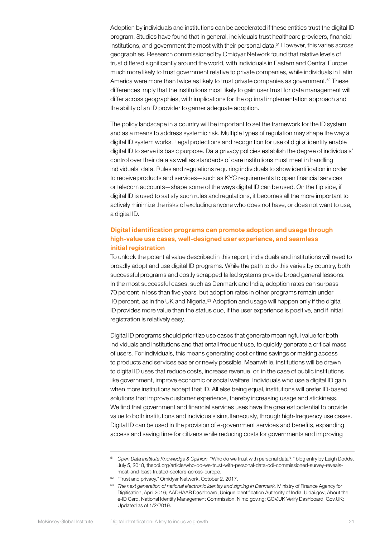Adoption by individuals and institutions can be accelerated if these entities trust the digital ID program. Studies have found that in general, individuals trust healthcare providers, financial institutions, and government the most with their personal data.<sup>51</sup> However, this varies across geographies. Research commissioned by Omidyar Network found that relative levels of trust differed significantly around the world, with individuals in Eastern and Central Europe much more likely to trust government relative to private companies, while individuals in Latin America were more than twice as likely to trust private companies as government.<sup>52</sup> These differences imply that the institutions most likely to gain user trust for data management will differ across geographies, with implications for the optimal implementation approach and the ability of an ID provider to garner adequate adoption.

The policy landscape in a country will be important to set the framework for the ID system and as a means to address systemic risk. Multiple types of regulation may shape the way a digital ID system works. Legal protections and recognition for use of digital identity enable digital ID to serve its basic purpose. Data privacy policies establish the degree of individuals' control over their data as well as standards of care institutions must meet in handling individuals' data. Rules and regulations requiring individuals to show identification in order to receive products and services—such as KYC requirements to open financial services or telecom accounts—shape some of the ways digital ID can be used. On the flip side, if digital ID is used to satisfy such rules and regulations, it becomes all the more important to actively minimize the risks of excluding anyone who does not have, or does not want to use, a digital ID.

#### Digital identification programs can promote adoption and usage through high-value use cases, well-designed user experience, and seamless initial registration

To unlock the potential value described in this report, individuals and institutions will need to broadly adopt and use digital ID programs. While the path to do this varies by country, both successful programs and costly scrapped failed systems provide broad general lessons. In the most successful cases, such as Denmark and India, adoption rates can surpass 70 percent in less than five years, but adoption rates in other programs remain under 10 percent, as in the UK and Nigeria.53 Adoption and usage will happen only if the digital ID provides more value than the status quo, if the user experience is positive, and if initial registration is relatively easy.

Digital ID programs should prioritize use cases that generate meaningful value for both individuals and institutions and that entail frequent use, to quickly generate a critical mass of users. For individuals, this means generating cost or time savings or making access to products and services easier or newly possible. Meanwhile, institutions will be drawn to digital ID uses that reduce costs, increase revenue, or, in the case of public institutions like government, improve economic or social welfare. Individuals who use a digital ID gain when more institutions accept that ID. All else being equal, institutions will prefer ID-based solutions that improve customer experience, thereby increasing usage and stickiness. We find that government and financial services uses have the greatest potential to provide value to both institutions and individuals simultaneously, through high-frequency use cases. Digital ID can be used in the provision of e-government services and benefits, expanding access and saving time for citizens while reducing costs for governments and improving

<sup>51</sup> *Open Data Institute Knowledge & Opinion,* "Who do we trust with personal data?," blog entry by Leigh Dodds, July 5, 2018, theodi.org/article/who-do-we-trust-with-personal-data-odi-commissioned-survey-revealsmost-and-least-trusted-sectors-across-europe.

<sup>&</sup>lt;sup>52</sup> "Trust and privacy," Omidyar Network, October 2, 2017.

<sup>53</sup> *The next generation of national electronic identity and signing in Denmark,* Ministry of Finance Agency for Digitisation, April 2016; AADHAAR Dashboard, Unique Identification Authority of India, Uidai.gov; About the e-ID Card, National Identity Management Commission, Nimc.gov.ng; GOV.UK Verify Dashboard, Gov.UK; Updated as of 1/2/2019.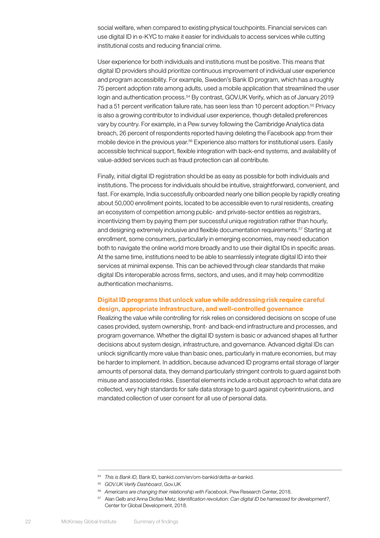social welfare, when compared to existing physical touchpoints. Financial services can use digital ID in e-KYC to make it easier for individuals to access services while cutting institutional costs and reducing financial crime.

User experience for both individuals and institutions must be positive. This means that digital ID providers should prioritize continuous improvement of individual user experience and program accessibility. For example, Sweden's Bank ID program, which has a roughly 75 percent adoption rate among adults, used a mobile application that streamlined the user login and authentication process.<sup>54</sup> By contrast, GOV.UK Verify, which as of January 2019 had a 51 percent verification failure rate, has seen less than 10 percent adoption.<sup>55</sup> Privacy is also a growing contributor to individual user experience, though detailed preferences vary by country. For example, in a Pew survey following the Cambridge Analytica data breach, 26 percent of respondents reported having deleting the Facebook app from their mobile device in the previous year.56 Experience also matters for institutional users. Easily accessible technical support, flexible integration with back-end systems, and availability of value-added services such as fraud protection can all contribute.

Finally, initial digital ID registration should be as easy as possible for both individuals and institutions. The process for individuals should be intuitive, straightforward, convenient, and fast. For example, India successfully onboarded nearly one billion people by rapidly creating about 50,000 enrollment points, located to be accessible even to rural residents, creating an ecosystem of competition among public- and private-sector entities as registrars, incentivizing them by paying them per successful unique registration rather than hourly, and designing extremely inclusive and flexible documentation requirements.57 Starting at enrollment, some consumers, particularly in emerging economies, may need education both to navigate the online world more broadly and to use their digital IDs in specific areas. At the same time, institutions need to be able to seamlessly integrate digital ID into their services at minimal expense. This can be achieved through clear standards that make digital IDs interoperable across firms, sectors, and uses, and it may help commoditize authentication mechanisms.

#### Digital ID programs that unlock value while addressing risk require careful design, appropriate infrastructure, and well-controlled governance

Realizing the value while controlling for risk relies on considered decisions on scope of use cases provided, system ownership, front- and back-end infrastructure and processes, and program governance. Whether the digital ID system is basic or advanced shapes all further decisions about system design, infrastructure, and governance. Advanced digital IDs can unlock significantly more value than basic ones, particularly in mature economies, but may be harder to implement. In addition, because advanced ID programs entail storage of larger amounts of personal data, they demand particularly stringent controls to guard against both misuse and associated risks. Essential elements include a robust approach to what data are collected, very high standards for safe data storage to guard against cyberintrusions, and mandated collection of user consent for all use of personal data.

<sup>54</sup> *This is Bank ID,* Bank ID, bankid.com/en/om-bankid/detta-ar-bankid.

<sup>55</sup> *GOV.UK Verify Dashboard*, Gov.UK

<sup>56</sup> *Americans are changing their relationship with Facebook*, Pew Research Center, 2018.

<sup>57</sup> Alan Gelb and Anna Diofasi Metz, *Identification revolution: Can digital ID be harnessed for development?,*  Center for Global Development, 2018.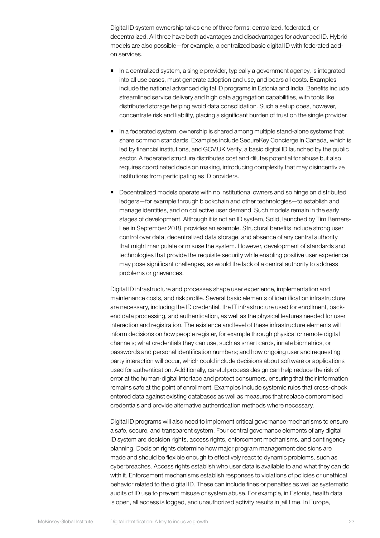Digital ID system ownership takes one of three forms: centralized, federated, or decentralized. All three have both advantages and disadvantages for advanced ID. Hybrid models are also possible—for example, a centralized basic digital ID with federated addon services.

- In a centralized system, a single provider, typically a government agency, is integrated into all use cases, must generate adoption and use, and bears all costs. Examples include the national advanced digital ID programs in Estonia and India. Benefits include streamlined service delivery and high data aggregation capabilities, with tools like distributed storage helping avoid data consolidation. Such a setup does, however, concentrate risk and liability, placing a significant burden of trust on the single provider.
- In a federated system, ownership is shared among multiple stand-alone systems that share common standards. Examples include SecureKey Concierge in Canada, which is led by financial institutions, and GOV.UK Verify, a basic digital ID launched by the public sector. A federated structure distributes cost and dilutes potential for abuse but also requires coordinated decision making, introducing complexity that may disincentivize institutions from participating as ID providers.
- Decentralized models operate with no institutional owners and so hinge on distributed ledgers—for example through blockchain and other technologies—to establish and manage identities, and on collective user demand. Such models remain in the early stages of development. Although it is not an ID system, Solid, launched by Tim Berners-Lee in September 2018, provides an example. Structural benefits include strong user control over data, decentralized data storage, and absence of any central authority that might manipulate or misuse the system. However, development of standards and technologies that provide the requisite security while enabling positive user experience may pose significant challenges, as would the lack of a central authority to address problems or grievances.

Digital ID infrastructure and processes shape user experience, implementation and maintenance costs, and risk profile. Several basic elements of identification infrastructure are necessary, including the ID credential, the IT infrastructure used for enrollment, backend data processing, and authentication, as well as the physical features needed for user interaction and registration. The existence and level of these infrastructure elements will inform decisions on how people register, for example through physical or remote digital channels; what credentials they can use, such as smart cards, innate biometrics, or passwords and personal identification numbers; and how ongoing user and requesting party interaction will occur, which could include decisions about software or applications used for authentication. Additionally, careful process design can help reduce the risk of error at the human-digital interface and protect consumers, ensuring that their information remains safe at the point of enrollment. Examples include systemic rules that cross-check entered data against existing databases as well as measures that replace compromised credentials and provide alternative authentication methods where necessary.

Digital ID programs will also need to implement critical governance mechanisms to ensure a safe, secure, and transparent system. Four central governance elements of any digital ID system are decision rights, access rights, enforcement mechanisms, and contingency planning. Decision rights determine how major program management decisions are made and should be flexible enough to effectively react to dynamic problems, such as cyberbreaches. Access rights establish who user data is available to and what they can do with it. Enforcement mechanisms establish responses to violations of policies or unethical behavior related to the digital ID. These can include fines or penalties as well as systematic audits of ID use to prevent misuse or system abuse. For example, in Estonia, health data is open, all access is logged, and unauthorized activity results in jail time. In Europe,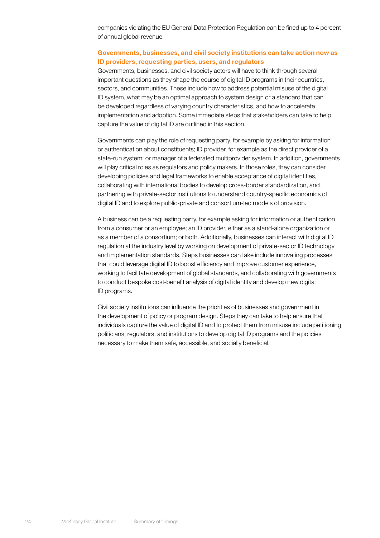companies violating the EU General Data Protection Regulation can be fined up to 4 percent of annual global revenue.

#### Governments, businesses, and civil society institutions can take action now as ID providers, requesting parties, users, and regulators

Governments, businesses, and civil society actors will have to think through several important questions as they shape the course of digital ID programs in their countries, sectors, and communities. These include how to address potential misuse of the digital ID system, what may be an optimal approach to system design or a standard that can be developed regardless of varying country characteristics, and how to accelerate implementation and adoption. Some immediate steps that stakeholders can take to help capture the value of digital ID are outlined in this section.

Governments can play the role of requesting party, for example by asking for information or authentication about constituents; ID provider, for example as the direct provider of a state-run system; or manager of a federated multiprovider system. In addition, governments will play critical roles as regulators and policy makers. In those roles, they can consider developing policies and legal frameworks to enable acceptance of digital identities, collaborating with international bodies to develop cross-border standardization, and partnering with private-sector institutions to understand country-specific economics of digital ID and to explore public-private and consortium-led models of provision.

A business can be a requesting party, for example asking for information or authentication from a consumer or an employee; an ID provider, either as a stand-alone organization or as a member of a consortium; or both. Additionally, businesses can interact with digital ID regulation at the industry level by working on development of private-sector ID technology and implementation standards. Steps businesses can take include innovating processes that could leverage digital ID to boost efficiency and improve customer experience, working to facilitate development of global standards, and collaborating with governments to conduct bespoke cost-benefit analysis of digital identity and develop new digital ID programs.

Civil society institutions can influence the priorities of businesses and government in the development of policy or program design. Steps they can take to help ensure that individuals capture the value of digital ID and to protect them from misuse include petitioning politicians, regulators, and institutions to develop digital ID programs and the policies necessary to make them safe, accessible, and socially beneficial.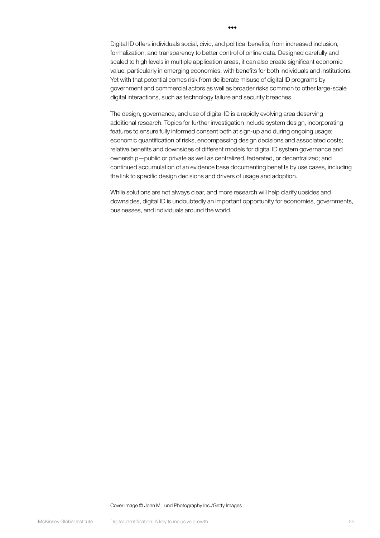Digital ID offers individuals social, civic, and political benefits, from increased inclusion, formalization, and transparency to better control of online data. Designed carefully and scaled to high levels in multiple application areas, it can also create significant economic value, particularly in emerging economies, with benefits for both individuals and institutions. Yet with that potential comes risk from deliberate misuse of digital ID programs by government and commercial actors as well as broader risks common to other large-scale digital interactions, such as technology failure and security breaches.

•••

The design, governance, and use of digital ID is a rapidly evolving area deserving additional research. Topics for further investigation include system design, incorporating features to ensure fully informed consent both at sign-up and during ongoing usage; economic quantification of risks, encompassing design decisions and associated costs; relative benefits and downsides of different models for digital ID system governance and ownership—public or private as well as centralized, federated, or decentralized; and continued accumulation of an evidence base documenting benefits by use cases, including the link to specific design decisions and drivers of usage and adoption.

While solutions are not always clear, and more research will help clarify upsides and downsides, digital ID is undoubtedly an important opportunity for economies, governments, businesses, and individuals around the world.

Cover image © John M Lund Photography Inc./Getty Images